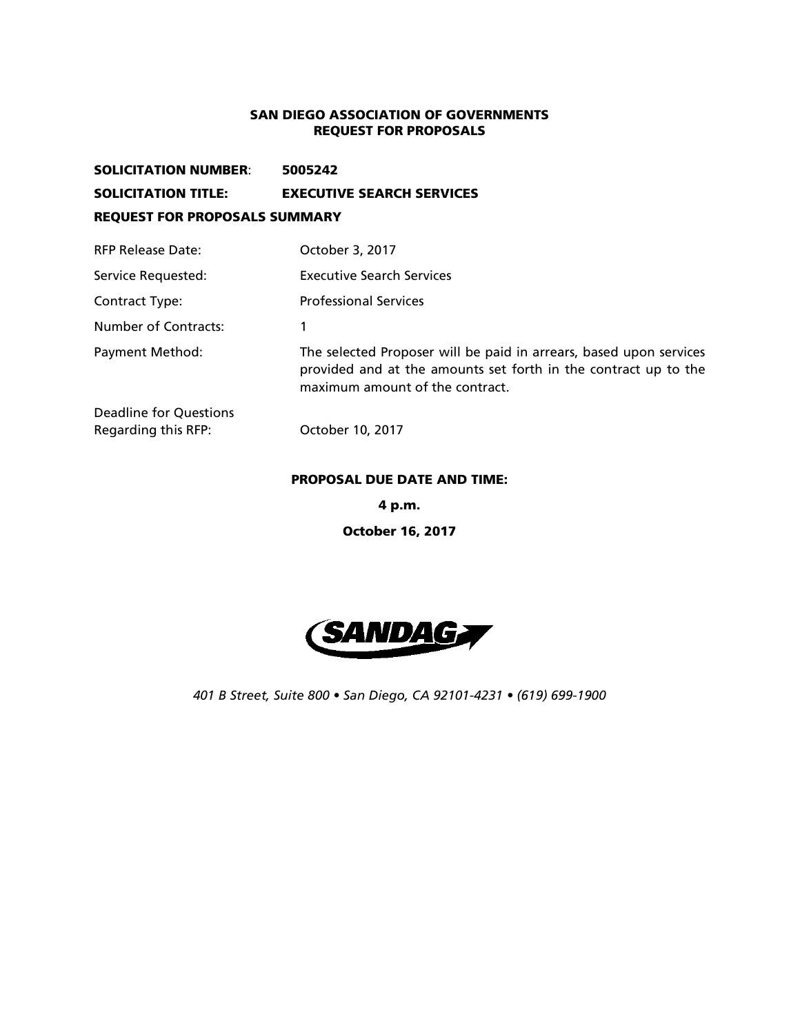#### SAN DIEGO ASSOCIATION OF GOVERNMENTS REQUEST FOR PROPOSALS

## SOLICITATION NUMBER: 5005242 SOLICITATION TITLE: EXECUTIVE SEARCH SERVICES REQUEST FOR PROPOSALS SUMMARY RFP Release Date: Case Cotober 3, 2017 Service Requested: Executive Search Services

Contract Type: Professional Services Number of Contracts: 1 Payment Method: The selected Proposer will be paid in arrears, based upon services provided and at the amounts set forth in the contract up to the maximum amount of the contract. Deadline for Questions Regarding this RFP: October 10, 2017

#### PROPOSAL DUE DATE AND TIME:

4 p.m.

October 16, 2017



*401 B Street, Suite 800 • San Diego, CA 92101-4231 • (619) 699-1900*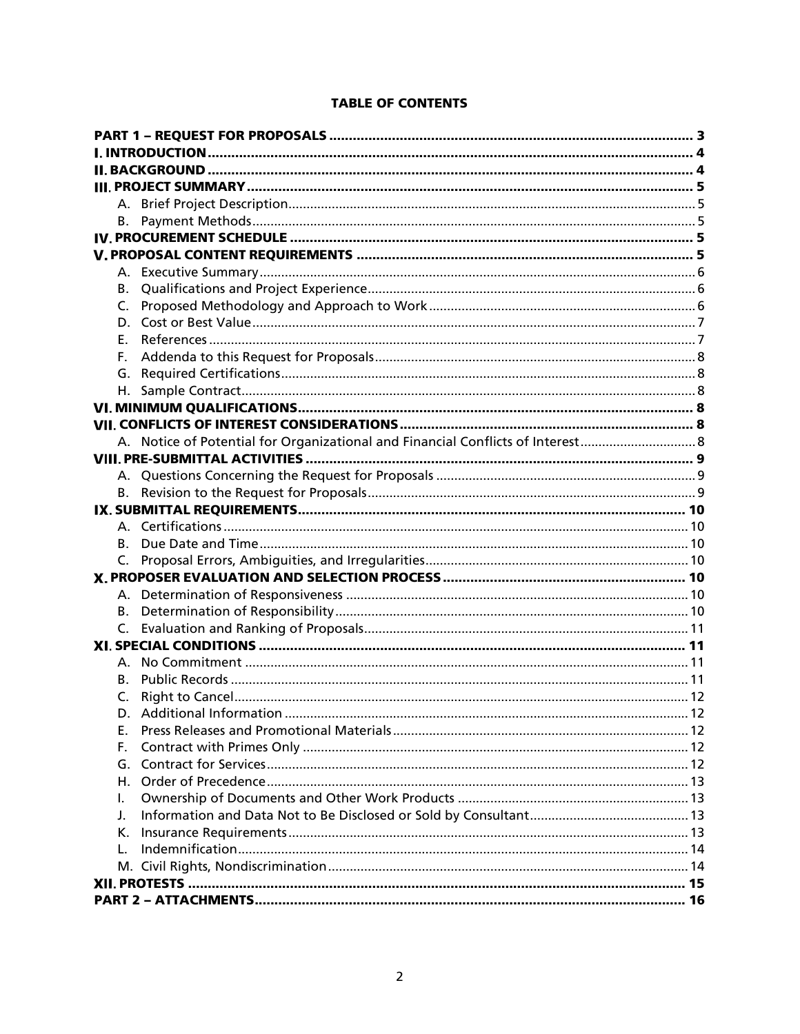|  | В.             |                                                                               |  |
|--|----------------|-------------------------------------------------------------------------------|--|
|  | C.             |                                                                               |  |
|  |                |                                                                               |  |
|  | F.             |                                                                               |  |
|  | F.             |                                                                               |  |
|  | G.             |                                                                               |  |
|  |                |                                                                               |  |
|  |                |                                                                               |  |
|  |                |                                                                               |  |
|  |                | A. Notice of Potential for Organizational and Financial Conflicts of Interest |  |
|  |                |                                                                               |  |
|  |                |                                                                               |  |
|  |                |                                                                               |  |
|  |                |                                                                               |  |
|  |                |                                                                               |  |
|  | В.             |                                                                               |  |
|  | C.             |                                                                               |  |
|  |                |                                                                               |  |
|  |                |                                                                               |  |
|  |                |                                                                               |  |
|  | $\mathsf{C}$ . |                                                                               |  |
|  |                |                                                                               |  |
|  |                |                                                                               |  |
|  | В.             |                                                                               |  |
|  | C.             |                                                                               |  |
|  |                |                                                                               |  |
|  | Е.             |                                                                               |  |
|  | F.             |                                                                               |  |
|  | G.             |                                                                               |  |
|  | Н.             |                                                                               |  |
|  | I.             |                                                                               |  |
|  | J.             |                                                                               |  |
|  | К.             |                                                                               |  |
|  | L.             |                                                                               |  |
|  |                |                                                                               |  |
|  |                |                                                                               |  |
|  |                |                                                                               |  |

### **TABLE OF CONTENTS**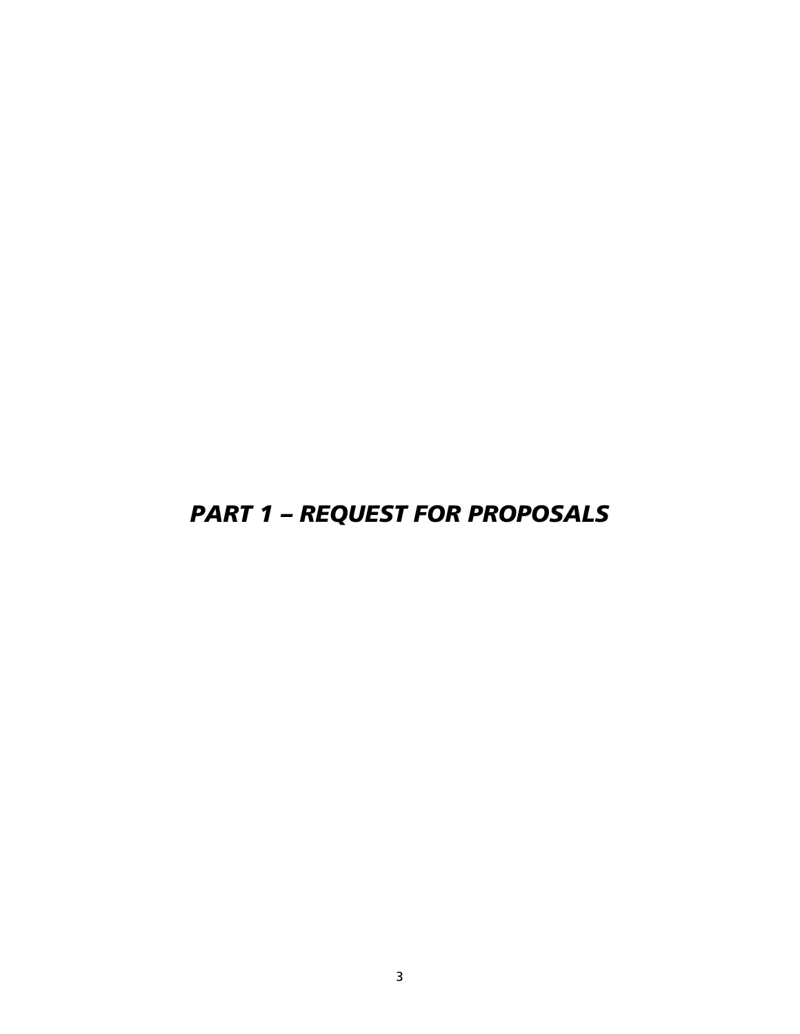# <span id="page-2-0"></span>*PART 1 – REQUEST FOR PROPOSALS*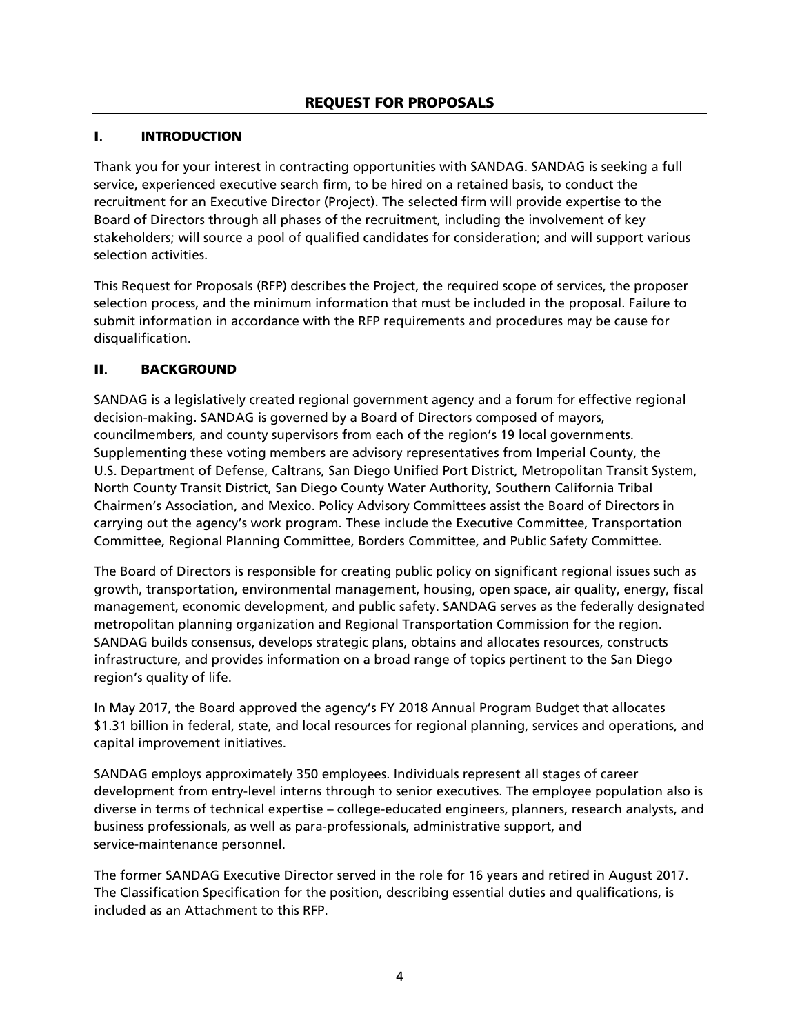#### <span id="page-3-0"></span>ı. INTRODUCTION

Thank you for your interest in contracting opportunities with SANDAG. SANDAG is seeking a full service, experienced executive search firm, to be hired on a retained basis, to conduct the recruitment for an Executive Director (Project). The selected firm will provide expertise to the Board of Directors through all phases of the recruitment, including the involvement of key stakeholders; will source a pool of qualified candidates for consideration; and will support various selection activities.

This Request for Proposals (RFP) describes the Project, the required scope of services, the proposer selection process, and the minimum information that must be included in the proposal. Failure to submit information in accordance with the RFP requirements and procedures may be cause for disqualification.

#### <span id="page-3-1"></span>П. BACKGROUND

SANDAG is a legislatively created regional government agency and a forum for effective regional decision-making. SANDAG is governed by a Board of Directors composed of mayors, councilmembers, and county supervisors from each of the region's 19 local governments. Supplementing these voting members are advisory representatives from Imperial County, the U.S. Department of Defense, Caltrans, San Diego Unified Port District, Metropolitan Transit System, North County Transit District, San Diego County Water Authority, Southern California Tribal Chairmen's Association, and Mexico. Policy Advisory Committees assist the Board of Directors in carrying out the agency's work program. These include the Executive Committee, Transportation Committee, Regional Planning Committee, Borders Committee, and Public Safety Committee.

The Board of Directors is responsible for creating public policy on significant regional issues such as growth, transportation, environmental management, housing, open space, air quality, energy, fiscal management, economic development, and public safety. SANDAG serves as the federally designated metropolitan planning organization and Regional Transportation Commission for the region. SANDAG builds consensus, develops strategic plans, obtains and allocates resources, constructs infrastructure, and provides information on a broad range of topics pertinent to the San Diego region's quality of life.

In May 2017, the Board approved the agency's FY 2018 Annual Program Budget that allocates \$1.31 billion in federal, state, and local resources for regional planning, services and operations, and capital improvement initiatives.

SANDAG employs approximately 350 employees. Individuals represent all stages of career development from entry-level interns through to senior executives. The employee population also is diverse in terms of technical expertise – college-educated engineers, planners, research analysts, and business professionals, as well as para-professionals, administrative support, and service-maintenance personnel.

The former SANDAG Executive Director served in the role for 16 years and retired in August 2017. The Classification Specification for the position, describing essential duties and qualifications, is included as an Attachment to this RFP.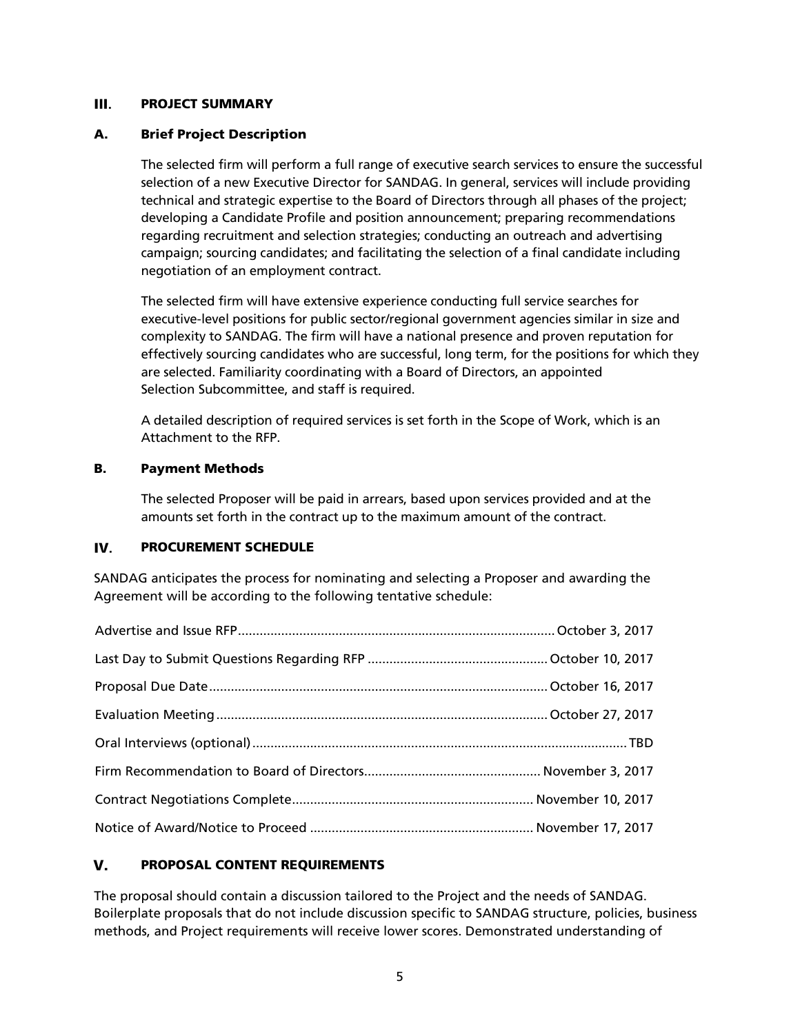#### <span id="page-4-1"></span><span id="page-4-0"></span>Ш. PROJECT SUMMARY

#### A. Brief Project Description

The selected firm will perform a full range of executive search services to ensure the successful selection of a new Executive Director for SANDAG. In general, services will include providing technical and strategic expertise to the Board of Directors through all phases of the project; developing a Candidate Profile and position announcement; preparing recommendations regarding recruitment and selection strategies; conducting an outreach and advertising campaign; sourcing candidates; and facilitating the selection of a final candidate including negotiation of an employment contract.

The selected firm will have extensive experience conducting full service searches for executive-level positions for public sector/regional government agencies similar in size and complexity to SANDAG. The firm will have a national presence and proven reputation for effectively sourcing candidates who are successful, long term, for the positions for which they are selected. Familiarity coordinating with a Board of Directors, an appointed Selection Subcommittee, and staff is required.

A detailed description of required services is set forth in the Scope of Work, which is an Attachment to the RFP.

#### <span id="page-4-2"></span>B. Payment Methods

The selected Proposer will be paid in arrears, based upon services provided and at the amounts set forth in the contract up to the maximum amount of the contract.

#### <span id="page-4-3"></span>IV. PROCUREMENT SCHEDULE

SANDAG anticipates the process for nominating and selecting a Proposer and awarding the Agreement will be according to the following tentative schedule:

#### <span id="page-4-4"></span>V. PROPOSAL CONTENT REQUIREMENTS

The proposal should contain a discussion tailored to the Project and the needs of SANDAG. Boilerplate proposals that do not include discussion specific to SANDAG structure, policies, business methods, and Project requirements will receive lower scores. Demonstrated understanding of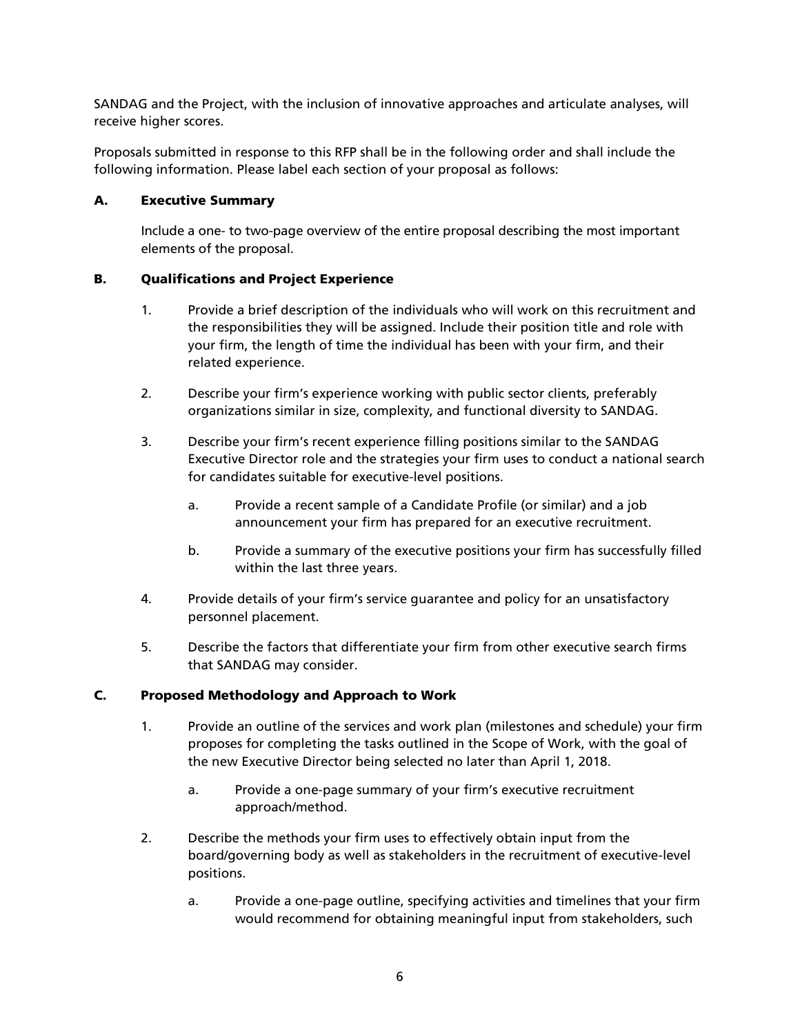SANDAG and the Project, with the inclusion of innovative approaches and articulate analyses, will receive higher scores.

Proposals submitted in response to this RFP shall be in the following order and shall include the following information. Please label each section of your proposal as follows:

#### <span id="page-5-0"></span>A. Executive Summary

Include a one- to two-page overview of the entire proposal describing the most important elements of the proposal.

#### <span id="page-5-1"></span>B. Qualifications and Project Experience

- 1. Provide a brief description of the individuals who will work on this recruitment and the responsibilities they will be assigned. Include their position title and role with your firm, the length of time the individual has been with your firm, and their related experience.
- 2. Describe your firm's experience working with public sector clients, preferably organizations similar in size, complexity, and functional diversity to SANDAG.
- 3. Describe your firm's recent experience filling positions similar to the SANDAG Executive Director role and the strategies your firm uses to conduct a national search for candidates suitable for executive-level positions.
	- a. Provide a recent sample of a Candidate Profile (or similar) and a job announcement your firm has prepared for an executive recruitment.
	- b. Provide a summary of the executive positions your firm has successfully filled within the last three years.
- 4. Provide details of your firm's service guarantee and policy for an unsatisfactory personnel placement.
- 5. Describe the factors that differentiate your firm from other executive search firms that SANDAG may consider.

#### <span id="page-5-2"></span>C. Proposed Methodology and Approach to Work

- 1. Provide an outline of the services and work plan (milestones and schedule) your firm proposes for completing the tasks outlined in the Scope of Work, with the goal of the new Executive Director being selected no later than April 1, 2018.
	- a. Provide a one-page summary of your firm's executive recruitment approach/method.
- 2. Describe the methods your firm uses to effectively obtain input from the board/governing body as well as stakeholders in the recruitment of executive-level positions.
	- a. Provide a one-page outline, specifying activities and timelines that your firm would recommend for obtaining meaningful input from stakeholders, such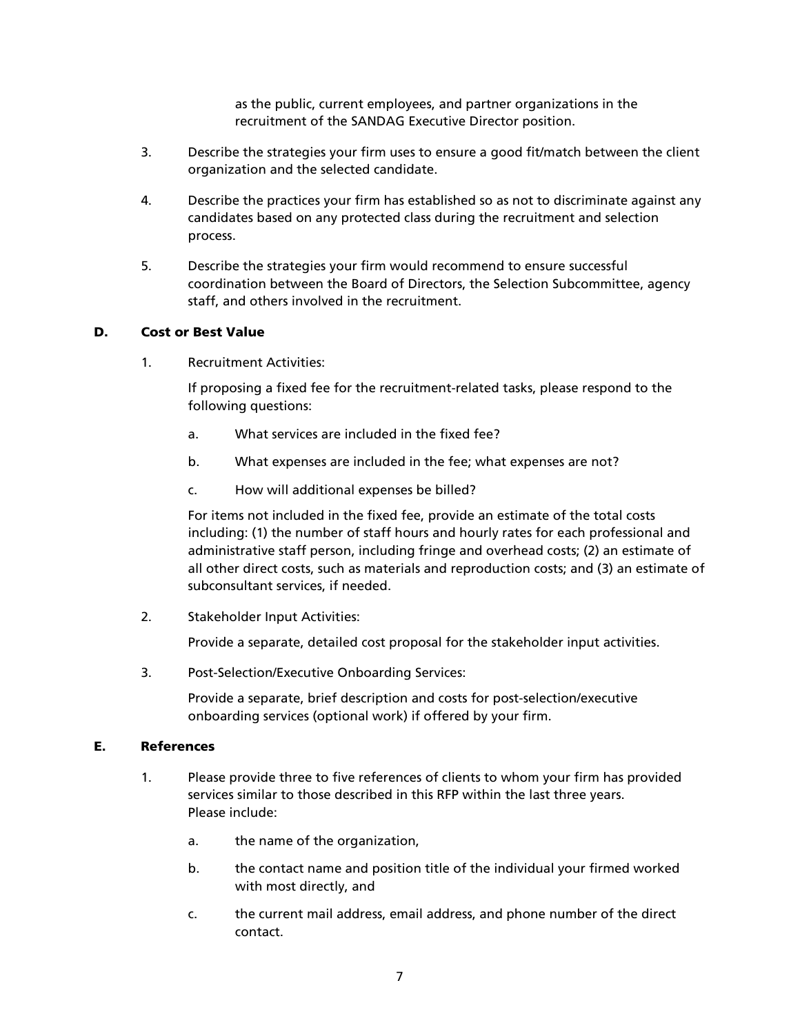as the public, current employees, and partner organizations in the recruitment of the SANDAG Executive Director position.

- 3. Describe the strategies your firm uses to ensure a good fit/match between the client organization and the selected candidate.
- 4. Describe the practices your firm has established so as not to discriminate against any candidates based on any protected class during the recruitment and selection process.
- 5. Describe the strategies your firm would recommend to ensure successful coordination between the Board of Directors, the Selection Subcommittee, agency staff, and others involved in the recruitment.

#### <span id="page-6-0"></span>D. Cost or Best Value

1. Recruitment Activities:

If proposing a fixed fee for the recruitment-related tasks, please respond to the following questions:

- a. What services are included in the fixed fee?
- b. What expenses are included in the fee; what expenses are not?
- c. How will additional expenses be billed?

For items not included in the fixed fee, provide an estimate of the total costs including: (1) the number of staff hours and hourly rates for each professional and administrative staff person, including fringe and overhead costs; (2) an estimate of all other direct costs, such as materials and reproduction costs; and (3) an estimate of subconsultant services, if needed.

2. Stakeholder Input Activities:

Provide a separate, detailed cost proposal for the stakeholder input activities.

3. Post-Selection/Executive Onboarding Services:

Provide a separate, brief description and costs for post-selection/executive onboarding services (optional work) if offered by your firm.

#### <span id="page-6-1"></span>E. References

- 1. Please provide three to five references of clients to whom your firm has provided services similar to those described in this RFP within the last three years. Please include:
	- a. the name of the organization,
	- b. the contact name and position title of the individual your firmed worked with most directly, and
	- c. the current mail address, email address, and phone number of the direct contact.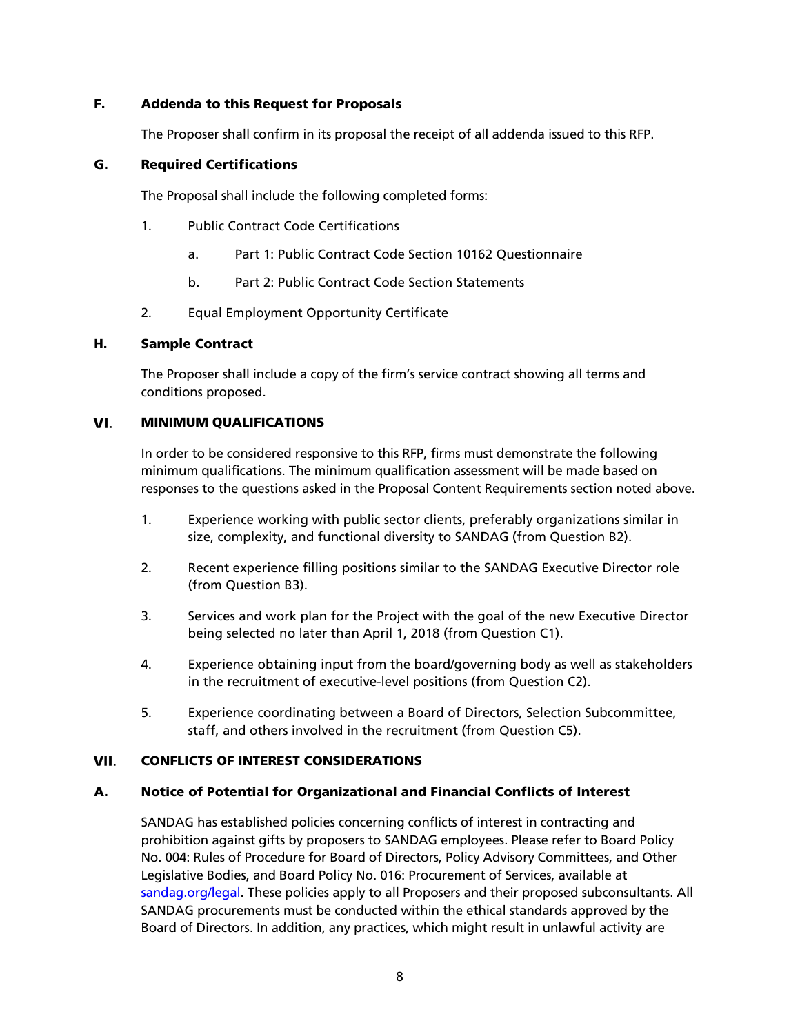#### <span id="page-7-0"></span>F. Addenda to this Request for Proposals

The Proposer shall confirm in its proposal the receipt of all addenda issued to this RFP.

#### <span id="page-7-1"></span>G. Required Certifications

The Proposal shall include the following completed forms:

- 1. Public Contract Code Certifications
	- a. Part 1: Public Contract Code Section 10162 Questionnaire
	- b. Part 2: Public Contract Code Section Statements
- 2. Equal Employment Opportunity Certificate

#### <span id="page-7-2"></span>H. Sample Contract

The Proposer shall include a copy of the firm's service contract showing all terms and conditions proposed.

#### VI. MINIMUM QUALIFICATIONS

<span id="page-7-3"></span>In order to be considered responsive to this RFP, firms must demonstrate the following minimum qualifications. The minimum qualification assessment will be made based on responses to the questions asked in the Proposal Content Requirements section noted above.

- 1. Experience working with public sector clients, preferably organizations similar in size, complexity, and functional diversity to SANDAG (from Question B2).
- 2. Recent experience filling positions similar to the SANDAG Executive Director role (from Question B3).
- 3. Services and work plan for the Project with the goal of the new Executive Director being selected no later than April 1, 2018 (from Question C1).
- 4. Experience obtaining input from the board/governing body as well as stakeholders in the recruitment of executive-level positions (from Question C2).
- <span id="page-7-4"></span>5. Experience coordinating between a Board of Directors, Selection Subcommittee, staff, and others involved in the recruitment (from Question C5).

#### CONFLICTS OF INTEREST CONSIDERATIONS VII.

### <span id="page-7-5"></span>A. Notice of Potential for Organizational and Financial Conflicts of Interest

SANDAG has established policies concerning conflicts of interest in contracting and prohibition against gifts by proposers to SANDAG employees. Please refer to Board Policy No. 004: Rules of Procedure for Board of Directors, Policy Advisory Committees, and Other Legislative Bodies, and Board Policy No. 016: Procurement of Services, available at [sandag.org/legal.](http://www.sandag.org/legal) These policies apply to all Proposers and their proposed subconsultants. All SANDAG procurements must be conducted within the ethical standards approved by the Board of Directors. In addition, any practices, which might result in unlawful activity are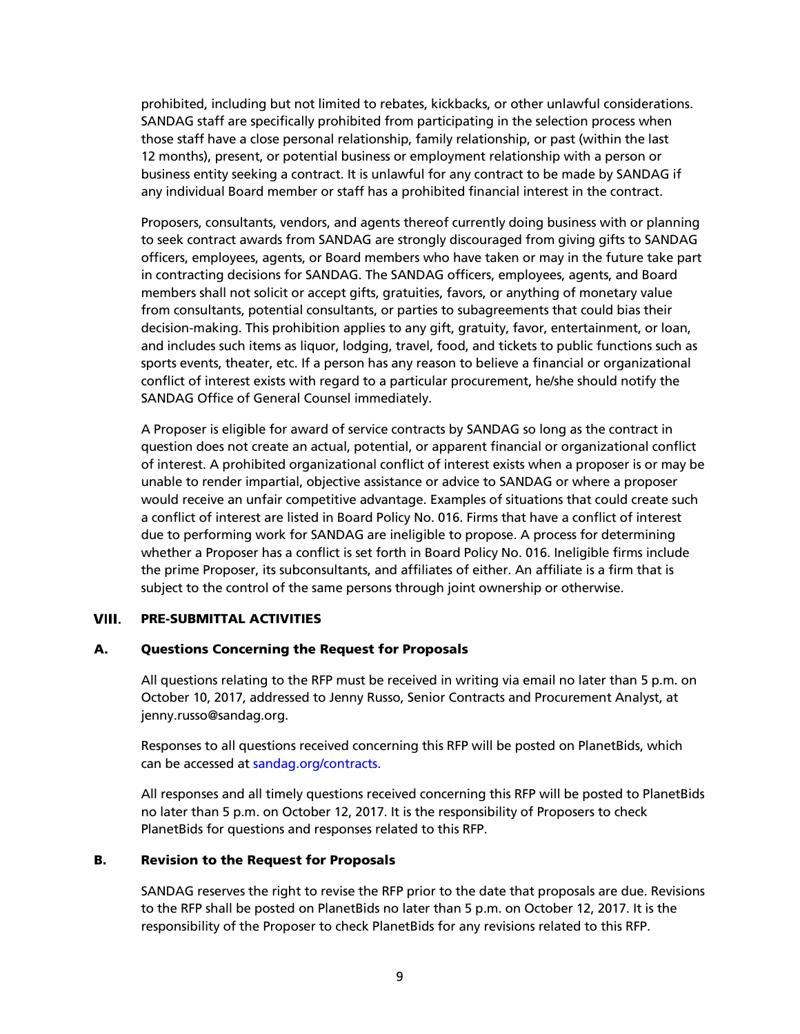prohibited, including but not limited to rebates, kickbacks, or other unlawful considerations. SANDAG staff are specifically prohibited from participating in the selection process when those staff have a close personal relationship, family relationship, or past (within the last 12 months), present, or potential business or employment relationship with a person or business entity seeking a contract. It is unlawful for any contract to be made by SANDAG if any individual Board member or staff has a prohibited financial interest in the contract.

Proposers, consultants, vendors, and agents thereof currently doing business with or planning to seek contract awards from SANDAG are strongly discouraged from giving gifts to SANDAG officers, employees, agents, or Board members who have taken or may in the future take part in contracting decisions for SANDAG. The SANDAG officers, employees, agents, and Board members shall not solicit or accept gifts, gratuities, favors, or anything of monetary value from consultants, potential consultants, or parties to subagreements that could bias their decision-making. This prohibition applies to any gift, gratuity, favor, entertainment, or loan, and includes such items as liquor, lodging, travel, food, and tickets to public functions such as sports events, theater, etc. If a person has any reason to believe a financial or organizational conflict of interest exists with regard to a particular procurement, he/she should notify the SANDAG Office of General Counsel immediately.

A Proposer is eligible for award of service contracts by SANDAG so long as the contract in question does not create an actual, potential, or apparent financial or organizational conflict of interest. A prohibited organizational conflict of interest exists when a proposer is or may be unable to render impartial, objective assistance or advice to SANDAG or where a proposer would receive an unfair competitive advantage. Examples of situations that could create such a conflict of interest are listed in Board Policy No. 016. Firms that have a conflict of interest due to performing work for SANDAG are ineligible to propose. A process for determining whether a Proposer has a conflict is set forth in Board Policy No. 016. Ineligible firms include the prime Proposer, its subconsultants, and affiliates of either. An affiliate is a firm that is subject to the control of the same persons through joint ownership or otherwise.

#### <span id="page-8-1"></span><span id="page-8-0"></span>VIII. PRE-SUBMITTAL ACTIVITIES

#### A. Questions Concerning the Request for Proposals

All questions relating to the RFP must be received in writing via email no later than 5 p.m. on October 10, 2017, addressed to Jenny Russo, Senior Contracts and Procurement Analyst, at jenny.russo@sandag.org.

Responses to all questions received concerning this RFP will be posted on PlanetBids, which can be accessed at [sandag.org/contracts.](http://www.sandag.org/contracts)

All responses and all timely questions received concerning this RFP will be posted to PlanetBids no later than 5 p.m. on October 12, 2017. It is the responsibility of Proposers to check PlanetBids for questions and responses related to this RFP.

#### <span id="page-8-2"></span>B. Revision to the Request for Proposals

SANDAG reserves the right to revise the RFP prior to the date that proposals are due. Revisions to the RFP shall be posted on PlanetBids no later than 5 p.m. on October 12, 2017. It is the responsibility of the Proposer to check PlanetBids for any revisions related to this RFP.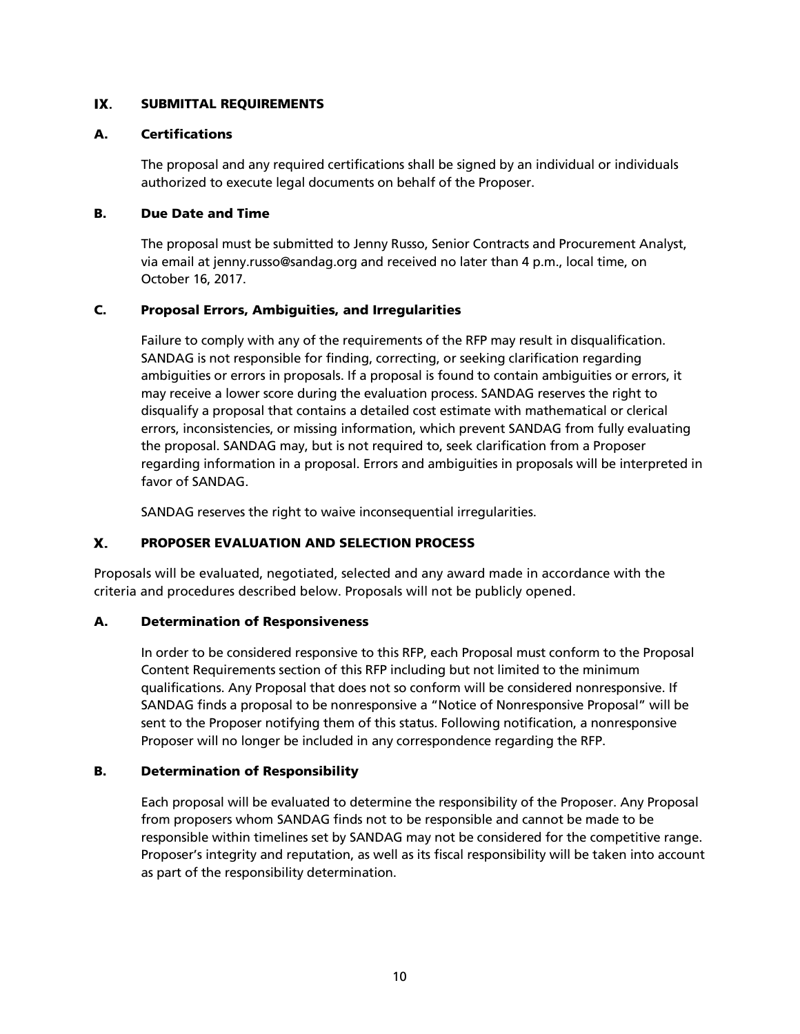#### <span id="page-9-1"></span><span id="page-9-0"></span>IX. SUBMITTAL REQUIREMENTS

#### A. Certifications

The proposal and any required certifications shall be signed by an individual or individuals authorized to execute legal documents on behalf of the Proposer.

#### <span id="page-9-2"></span>B. Due Date and Time

The proposal must be submitted to Jenny Russo, Senior Contracts and Procurement Analyst, via email at jenny.russo@sandag.org and received no later than 4 p.m., local time, on October 16, 2017.

### <span id="page-9-3"></span>C. Proposal Errors, Ambiguities, and Irregularities

Failure to comply with any of the requirements of the RFP may result in disqualification. SANDAG is not responsible for finding, correcting, or seeking clarification regarding ambiguities or errors in proposals. If a proposal is found to contain ambiguities or errors, it may receive a lower score during the evaluation process. SANDAG reserves the right to disqualify a proposal that contains a detailed cost estimate with mathematical or clerical errors, inconsistencies, or missing information, which prevent SANDAG from fully evaluating the proposal. SANDAG may, but is not required to, seek clarification from a Proposer regarding information in a proposal. Errors and ambiguities in proposals will be interpreted in favor of SANDAG.

<span id="page-9-4"></span>SANDAG reserves the right to waive inconsequential irregularities.

#### Х. PROPOSER EVALUATION AND SELECTION PROCESS

Proposals will be evaluated, negotiated, selected and any award made in accordance with the criteria and procedures described below. Proposals will not be publicly opened.

### <span id="page-9-5"></span>A. Determination of Responsiveness

In order to be considered responsive to this RFP, each Proposal must conform to the Proposal Content Requirements section of this RFP including but not limited to the minimum qualifications. Any Proposal that does not so conform will be considered nonresponsive. If SANDAG finds a proposal to be nonresponsive a "Notice of Nonresponsive Proposal" will be sent to the Proposer notifying them of this status. Following notification, a nonresponsive Proposer will no longer be included in any correspondence regarding the RFP.

### <span id="page-9-6"></span>B. Determination of Responsibility

Each proposal will be evaluated to determine the responsibility of the Proposer. Any Proposal from proposers whom SANDAG finds not to be responsible and cannot be made to be responsible within timelines set by SANDAG may not be considered for the competitive range. Proposer's integrity and reputation, as well as its fiscal responsibility will be taken into account as part of the responsibility determination.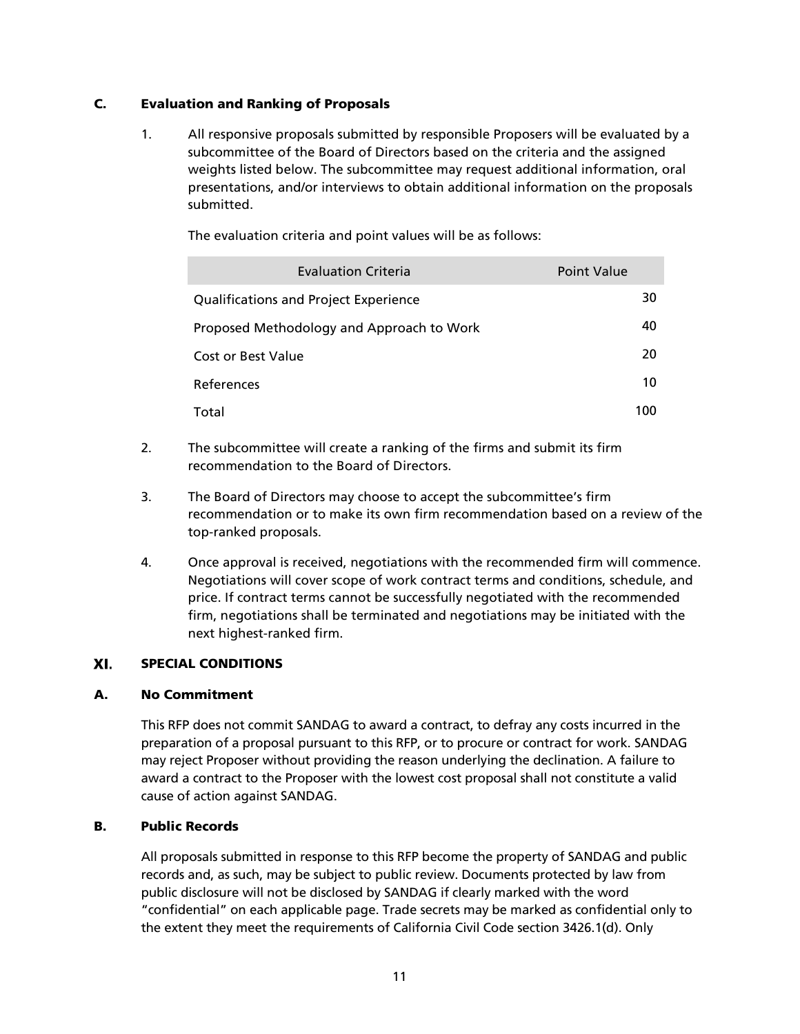### <span id="page-10-0"></span>C. Evaluation and Ranking of Proposals

1. All responsive proposals submitted by responsible Proposers will be evaluated by a subcommittee of the Board of Directors based on the criteria and the assigned weights listed below. The subcommittee may request additional information, oral presentations, and/or interviews to obtain additional information on the proposals submitted.

| <b>Evaluation Criteria</b>                   | Point Value |
|----------------------------------------------|-------------|
| <b>Qualifications and Project Experience</b> | 30          |
| Proposed Methodology and Approach to Work    | 40          |
| Cost or Best Value                           | 20          |
| References                                   | 10          |
| Total                                        | 100         |

The evaluation criteria and point values will be as follows:

- 2. The subcommittee will create a ranking of the firms and submit its firm recommendation to the Board of Directors.
- 3. The Board of Directors may choose to accept the subcommittee's firm recommendation or to make its own firm recommendation based on a review of the top-ranked proposals.
- 4. Once approval is received, negotiations with the recommended firm will commence. Negotiations will cover scope of work contract terms and conditions, schedule, and price. If contract terms cannot be successfully negotiated with the recommended firm, negotiations shall be terminated and negotiations may be initiated with the next highest-ranked firm.

#### <span id="page-10-1"></span>XI. SPECIAL CONDITIONS

#### <span id="page-10-2"></span>A. No Commitment

This RFP does not commit SANDAG to award a contract, to defray any costs incurred in the preparation of a proposal pursuant to this RFP, or to procure or contract for work. SANDAG may reject Proposer without providing the reason underlying the declination. A failure to award a contract to the Proposer with the lowest cost proposal shall not constitute a valid cause of action against SANDAG.

#### <span id="page-10-3"></span>B. Public Records

All proposals submitted in response to this RFP become the property of SANDAG and public records and, as such, may be subject to public review. Documents protected by law from public disclosure will not be disclosed by SANDAG if clearly marked with the word "confidential" on each applicable page. Trade secrets may be marked as confidential only to the extent they meet the requirements of California Civil Code section 3426.1(d). Only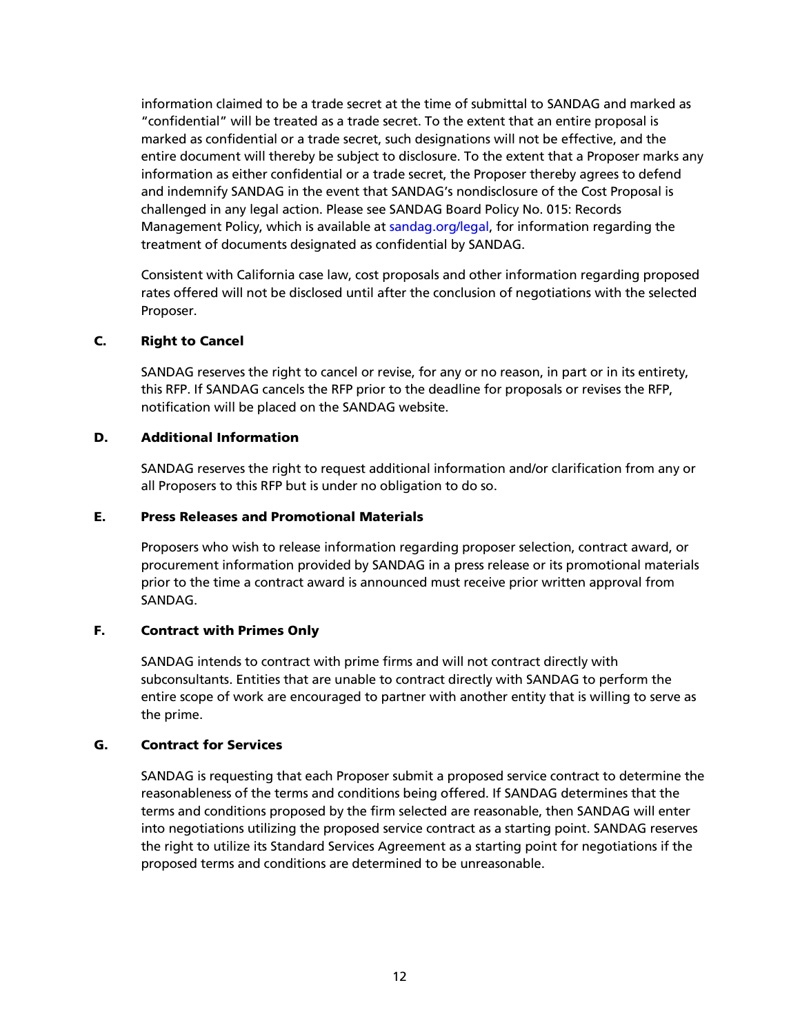information claimed to be a trade secret at the time of submittal to SANDAG and marked as "confidential" will be treated as a trade secret. To the extent that an entire proposal is marked as confidential or a trade secret, such designations will not be effective, and the entire document will thereby be subject to disclosure. To the extent that a Proposer marks any information as either confidential or a trade secret, the Proposer thereby agrees to defend and indemnify SANDAG in the event that SANDAG's nondisclosure of the Cost Proposal is challenged in any legal action. Please see SANDAG Board Policy No. 015: Records Management Policy, which is available at [sandag.org/legal,](http://www.sandag/legal) for information regarding the treatment of documents designated as confidential by SANDAG.

Consistent with California case law, cost proposals and other information regarding proposed rates offered will not be disclosed until after the conclusion of negotiations with the selected Proposer.

#### <span id="page-11-0"></span>C. Right to Cancel

SANDAG reserves the right to cancel or revise, for any or no reason, in part or in its entirety, this RFP. If SANDAG cancels the RFP prior to the deadline for proposals or revises the RFP, notification will be placed on the SANDAG website.

#### <span id="page-11-1"></span>D. Additional Information

SANDAG reserves the right to request additional information and/or clarification from any or all Proposers to this RFP but is under no obligation to do so.

#### <span id="page-11-2"></span>E. Press Releases and Promotional Materials

Proposers who wish to release information regarding proposer selection, contract award, or procurement information provided by SANDAG in a press release or its promotional materials prior to the time a contract award is announced must receive prior written approval from SANDAG.

#### <span id="page-11-3"></span>F. Contract with Primes Only

SANDAG intends to contract with prime firms and will not contract directly with subconsultants. Entities that are unable to contract directly with SANDAG to perform the entire scope of work are encouraged to partner with another entity that is willing to serve as the prime.

#### <span id="page-11-4"></span>G. Contract for Services

SANDAG is requesting that each Proposer submit a proposed service contract to determine the reasonableness of the terms and conditions being offered. If SANDAG determines that the terms and conditions proposed by the firm selected are reasonable, then SANDAG will enter into negotiations utilizing the proposed service contract as a starting point. SANDAG reserves the right to utilize its Standard Services Agreement as a starting point for negotiations if the proposed terms and conditions are determined to be unreasonable.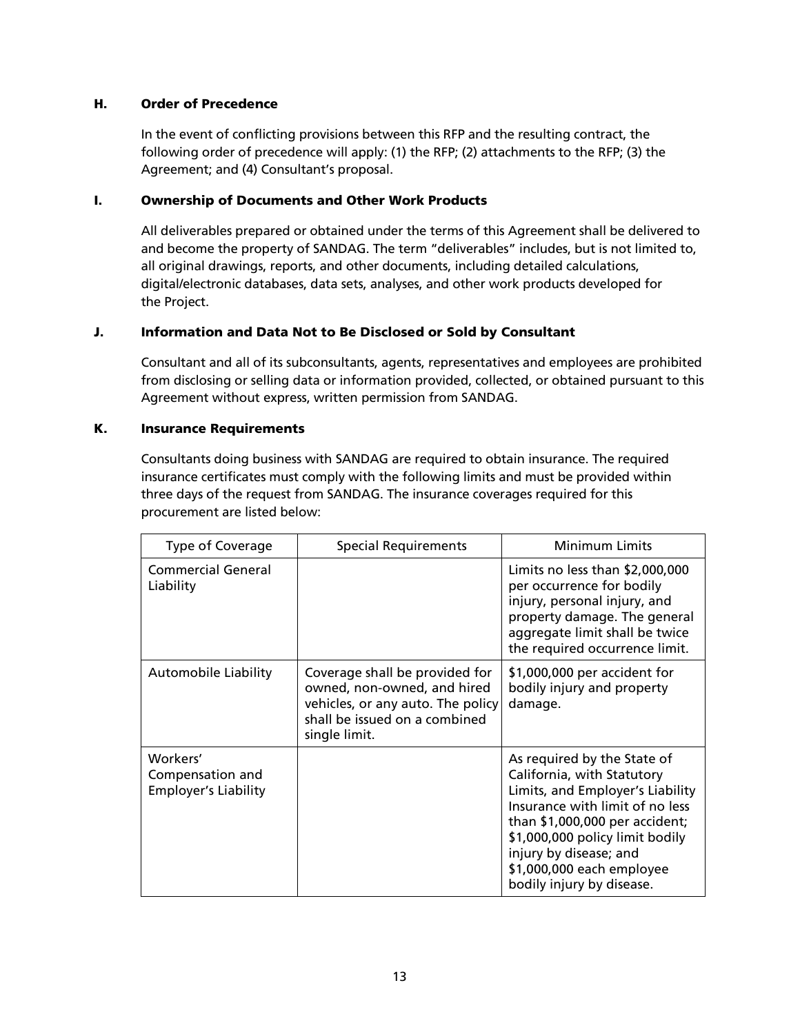#### <span id="page-12-0"></span>H. Order of Precedence

In the event of conflicting provisions between this RFP and the resulting contract, the following order of precedence will apply: (1) the RFP; (2) attachments to the RFP; (3) the Agreement; and (4) Consultant's proposal.

#### <span id="page-12-1"></span>I. Ownership of Documents and Other Work Products

All deliverables prepared or obtained under the terms of this Agreement shall be delivered to and become the property of SANDAG. The term "deliverables" includes, but is not limited to, all original drawings, reports, and other documents, including detailed calculations, digital/electronic databases, data sets, analyses, and other work products developed for the Project.

#### <span id="page-12-2"></span>J. Information and Data Not to Be Disclosed or Sold by Consultant

Consultant and all of its subconsultants, agents, representatives and employees are prohibited from disclosing or selling data or information provided, collected, or obtained pursuant to this Agreement without express, written permission from SANDAG.

#### <span id="page-12-3"></span>K. Insurance Requirements

Consultants doing business with SANDAG are required to obtain insurance. The required insurance certificates must comply with the following limits and must be provided within three days of the request from SANDAG. The insurance coverages required for this procurement are listed below:

| Type of Coverage                                            | <b>Special Requirements</b>                                                                                                                          | Minimum Limits                                                                                                                                                                                                                                                                            |
|-------------------------------------------------------------|------------------------------------------------------------------------------------------------------------------------------------------------------|-------------------------------------------------------------------------------------------------------------------------------------------------------------------------------------------------------------------------------------------------------------------------------------------|
| <b>Commercial General</b><br>Liability                      |                                                                                                                                                      | Limits no less than $$2,000,000$<br>per occurrence for bodily<br>injury, personal injury, and<br>property damage. The general<br>aggregate limit shall be twice<br>the required occurrence limit.                                                                                         |
| Automobile Liability                                        | Coverage shall be provided for<br>owned, non-owned, and hired<br>vehicles, or any auto. The policy<br>shall be issued on a combined<br>single limit. | \$1,000,000 per accident for<br>bodily injury and property<br>damage.                                                                                                                                                                                                                     |
| Workers'<br>Compensation and<br><b>Employer's Liability</b> |                                                                                                                                                      | As required by the State of<br>California, with Statutory<br>Limits, and Employer's Liability<br>Insurance with limit of no less<br>than \$1,000,000 per accident;<br>\$1,000,000 policy limit bodily<br>injury by disease; and<br>\$1,000,000 each employee<br>bodily injury by disease. |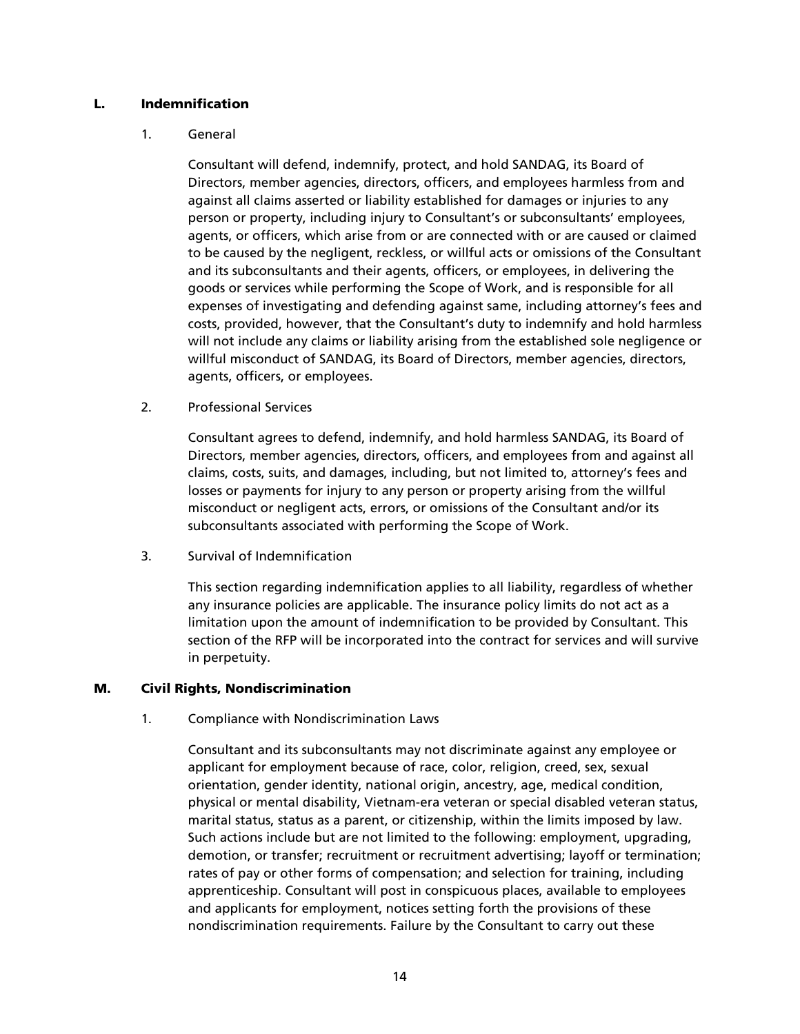#### <span id="page-13-0"></span>L. Indemnification

#### 1. General

Consultant will defend, indemnify, protect, and hold SANDAG, its Board of Directors, member agencies, directors, officers, and employees harmless from and against all claims asserted or liability established for damages or injuries to any person or property, including injury to Consultant's or subconsultants' employees, agents, or officers, which arise from or are connected with or are caused or claimed to be caused by the negligent, reckless, or willful acts or omissions of the Consultant and its subconsultants and their agents, officers, or employees, in delivering the goods or services while performing the Scope of Work, and is responsible for all expenses of investigating and defending against same, including attorney's fees and costs, provided, however, that the Consultant's duty to indemnify and hold harmless will not include any claims or liability arising from the established sole negligence or willful misconduct of SANDAG, its Board of Directors, member agencies, directors, agents, officers, or employees.

2. Professional Services

Consultant agrees to defend, indemnify, and hold harmless SANDAG, its Board of Directors, member agencies, directors, officers, and employees from and against all claims, costs, suits, and damages, including, but not limited to, attorney's fees and losses or payments for injury to any person or property arising from the willful misconduct or negligent acts, errors, or omissions of the Consultant and/or its subconsultants associated with performing the Scope of Work.

3. Survival of Indemnification

This section regarding indemnification applies to all liability, regardless of whether any insurance policies are applicable. The insurance policy limits do not act as a limitation upon the amount of indemnification to be provided by Consultant. This section of the RFP will be incorporated into the contract for services and will survive in perpetuity.

### <span id="page-13-1"></span>M. Civil Rights, Nondiscrimination

1. Compliance with Nondiscrimination Laws

Consultant and its subconsultants may not discriminate against any employee or applicant for employment because of race, color, religion, creed, sex, sexual orientation, gender identity, national origin, ancestry, age, medical condition, physical or mental disability, Vietnam-era veteran or special disabled veteran status, marital status, status as a parent, or citizenship, within the limits imposed by law. Such actions include but are not limited to the following: employment, upgrading, demotion, or transfer; recruitment or recruitment advertising; layoff or termination; rates of pay or other forms of compensation; and selection for training, including apprenticeship. Consultant will post in conspicuous places, available to employees and applicants for employment, notices setting forth the provisions of these nondiscrimination requirements. Failure by the Consultant to carry out these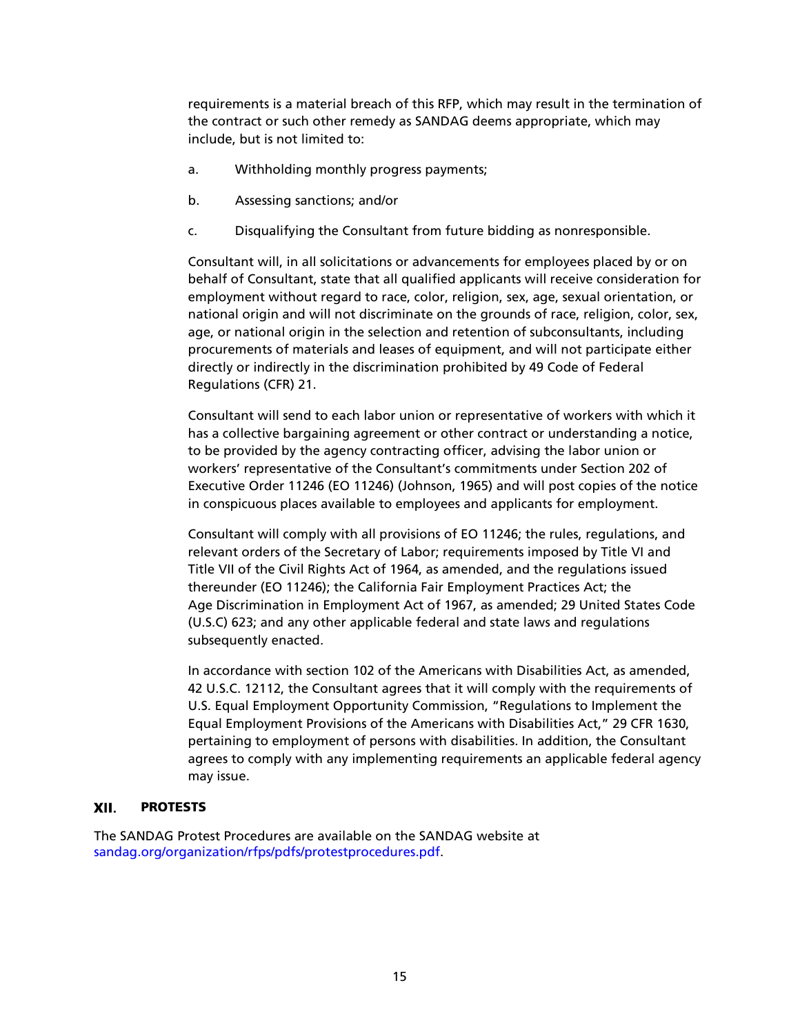requirements is a material breach of this RFP, which may result in the termination of the contract or such other remedy as SANDAG deems appropriate, which may include, but is not limited to:

- a. Withholding monthly progress payments;
- b. Assessing sanctions; and/or
- c. Disqualifying the Consultant from future bidding as nonresponsible.

Consultant will, in all solicitations or advancements for employees placed by or on behalf of Consultant, state that all qualified applicants will receive consideration for employment without regard to race, color, religion, sex, age, sexual orientation, or national origin and will not discriminate on the grounds of race, religion, color, sex, age, or national origin in the selection and retention of subconsultants, including procurements of materials and leases of equipment, and will not participate either directly or indirectly in the discrimination prohibited by 49 Code of Federal Regulations (CFR) 21.

Consultant will send to each labor union or representative of workers with which it has a collective bargaining agreement or other contract or understanding a notice, to be provided by the agency contracting officer, advising the labor union or workers' representative of the Consultant's commitments under Section 202 of Executive Order 11246 (EO 11246) (Johnson, 1965) and will post copies of the notice in conspicuous places available to employees and applicants for employment.

Consultant will comply with all provisions of EO 11246; the rules, regulations, and relevant orders of the Secretary of Labor; requirements imposed by Title VI and Title VII of the Civil Rights Act of 1964, as amended, and the regulations issued thereunder (EO 11246); the California Fair Employment Practices Act; the Age Discrimination in Employment Act of 1967, as amended; 29 United States Code (U.S.C) 623; and any other applicable federal and state laws and regulations subsequently enacted.

In accordance with section 102 of the Americans with Disabilities Act, as amended, 42 U.S.C. 12112, the Consultant agrees that it will comply with the requirements of U.S. Equal Employment Opportunity Commission, "Regulations to Implement the Equal Employment Provisions of the Americans with Disabilities Act," 29 CFR 1630, pertaining to employment of persons with disabilities. In addition, the Consultant agrees to comply with any implementing requirements an applicable federal agency may issue.

#### <span id="page-14-0"></span>XII. PROTESTS

The SANDAG Protest Procedures are available on the SANDAG website at [sandag.org/organization/rfps/pdfs/protestprocedures.pdf.](http://www.sandag.org/organization/rfps/pdfs/protestprocedures.pdf)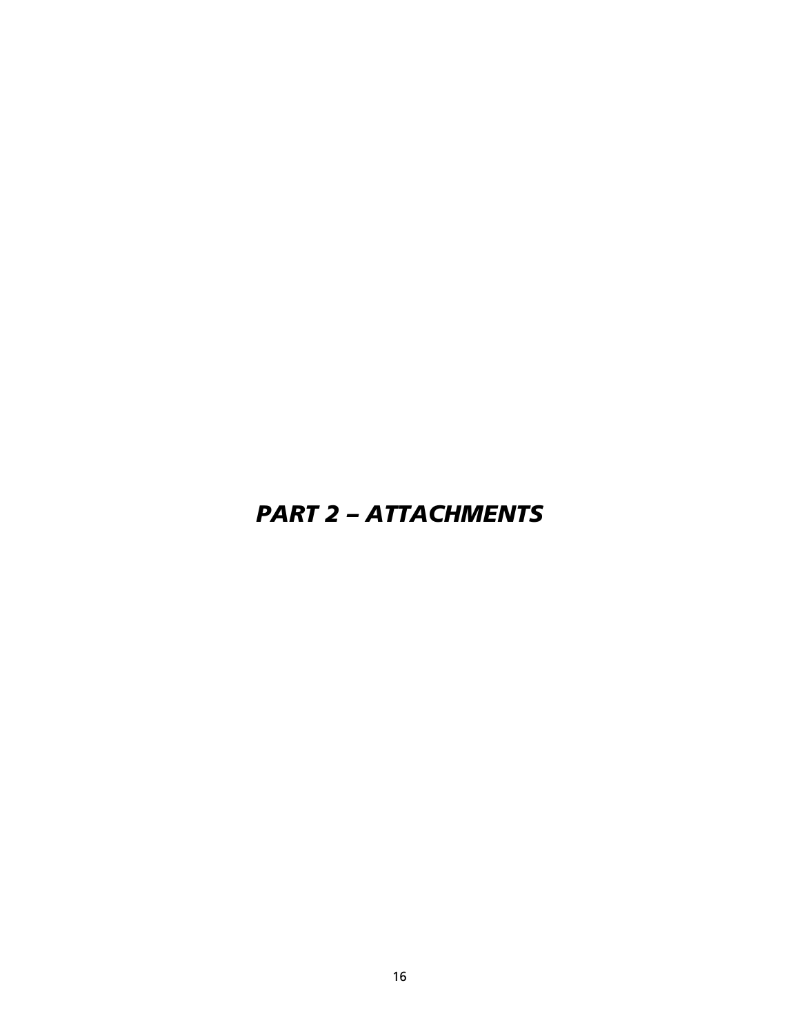# <span id="page-15-0"></span>*PART 2 – ATTACHMENTS*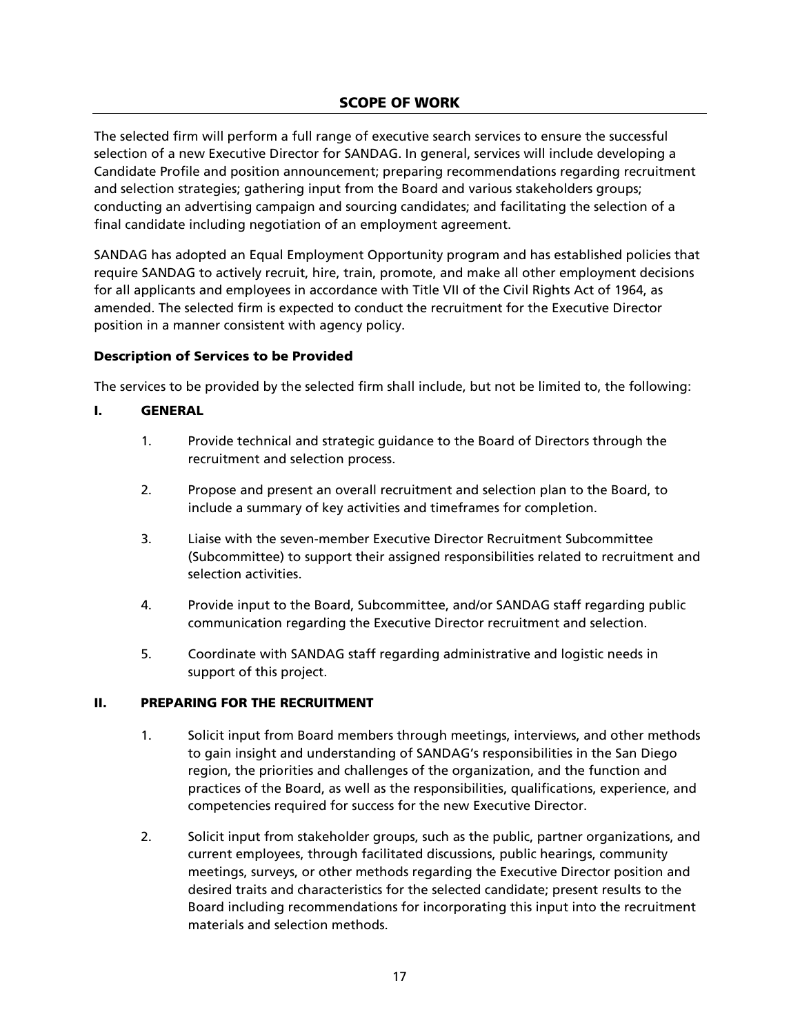The selected firm will perform a full range of executive search services to ensure the successful selection of a new Executive Director for SANDAG. In general, services will include developing a Candidate Profile and position announcement; preparing recommendations regarding recruitment and selection strategies; gathering input from the Board and various stakeholders groups; conducting an advertising campaign and sourcing candidates; and facilitating the selection of a final candidate including negotiation of an employment agreement.

SANDAG has adopted an Equal Employment Opportunity program and has established policies that require SANDAG to actively recruit, hire, train, promote, and make all other employment decisions for all applicants and employees in accordance with Title VII of the Civil Rights Act of 1964, as amended. The selected firm is expected to conduct the recruitment for the Executive Director position in a manner consistent with agency policy.

### Description of Services to be Provided

The services to be provided by the selected firm shall include, but not be limited to, the following:

### I. GENERAL

- 1. Provide technical and strategic guidance to the Board of Directors through the recruitment and selection process.
- 2. Propose and present an overall recruitment and selection plan to the Board, to include a summary of key activities and timeframes for completion.
- 3. Liaise with the seven-member Executive Director Recruitment Subcommittee (Subcommittee) to support their assigned responsibilities related to recruitment and selection activities.
- 4. Provide input to the Board, Subcommittee, and/or SANDAG staff regarding public communication regarding the Executive Director recruitment and selection.
- 5. Coordinate with SANDAG staff regarding administrative and logistic needs in support of this project.

#### II. PREPARING FOR THE RECRUITMENT

- 1. Solicit input from Board members through meetings, interviews, and other methods to gain insight and understanding of SANDAG's responsibilities in the San Diego region, the priorities and challenges of the organization, and the function and practices of the Board, as well as the responsibilities, qualifications, experience, and competencies required for success for the new Executive Director.
- 2. Solicit input from stakeholder groups, such as the public, partner organizations, and current employees, through facilitated discussions, public hearings, community meetings, surveys, or other methods regarding the Executive Director position and desired traits and characteristics for the selected candidate; present results to the Board including recommendations for incorporating this input into the recruitment materials and selection methods.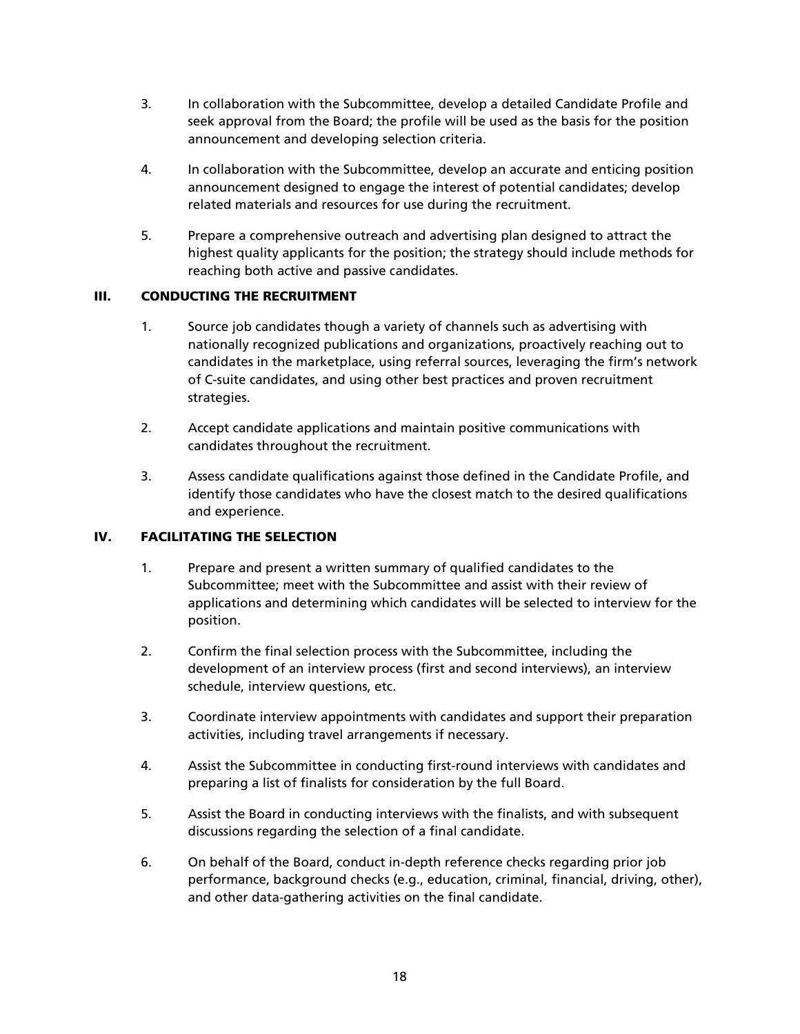- 3. In collaboration with the Subcommittee, develop a detailed Candidate Profile and seek approval from the Board; the profile will be used as the basis for the position announcement and developing selection criteria.
- 4. In collaboration with the Subcommittee, develop an accurate and enticing position announcement designed to engage the interest of potential candidates; develop related materials and resources for use during the recruitment.
- 5. Prepare a comprehensive outreach and advertising plan designed to attract the highest quality applicants for the position; the strategy should include methods for reaching both active and passive candidates.

### III. CONDUCTING THE RECRUITMENT

- 1. Source job candidates though a variety of channels such as advertising with nationally recognized publications and organizations, proactively reaching out to candidates in the marketplace, using referral sources, leveraging the firm's network of C-suite candidates, and using other best practices and proven recruitment strategies.
- 2. Accept candidate applications and maintain positive communications with candidates throughout the recruitment.
- 3. Assess candidate qualifications against those defined in the Candidate Profile, and identify those candidates who have the closest match to the desired qualifications and experience.

### IV. FACILITATING THE SELECTION

- 1. Prepare and present a written summary of qualified candidates to the Subcommittee; meet with the Subcommittee and assist with their review of applications and determining which candidates will be selected to interview for the position.
- 2. Confirm the final selection process with the Subcommittee, including the development of an interview process (first and second interviews), an interview schedule, interview questions, etc.
- 3. Coordinate interview appointments with candidates and support their preparation activities, including travel arrangements if necessary.
- 4. Assist the Subcommittee in conducting first-round interviews with candidates and preparing a list of finalists for consideration by the full Board.
- 5. Assist the Board in conducting interviews with the finalists, and with subsequent discussions regarding the selection of a final candidate.
- 6. On behalf of the Board, conduct in-depth reference checks regarding prior job performance, background checks (e.g., education, criminal, financial, driving, other), and other data-gathering activities on the final candidate.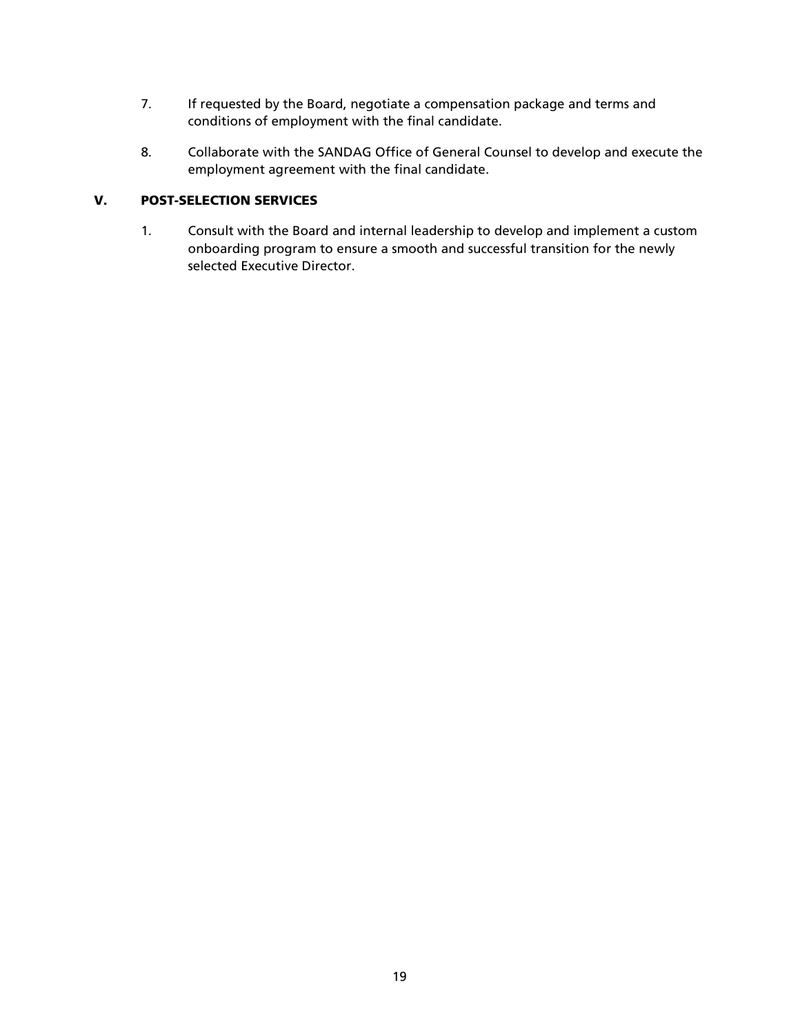- 7. If requested by the Board, negotiate a compensation package and terms and conditions of employment with the final candidate.
- 8. Collaborate with the SANDAG Office of General Counsel to develop and execute the employment agreement with the final candidate.

### V. POST-SELECTION SERVICES

1. Consult with the Board and internal leadership to develop and implement a custom onboarding program to ensure a smooth and successful transition for the newly selected Executive Director.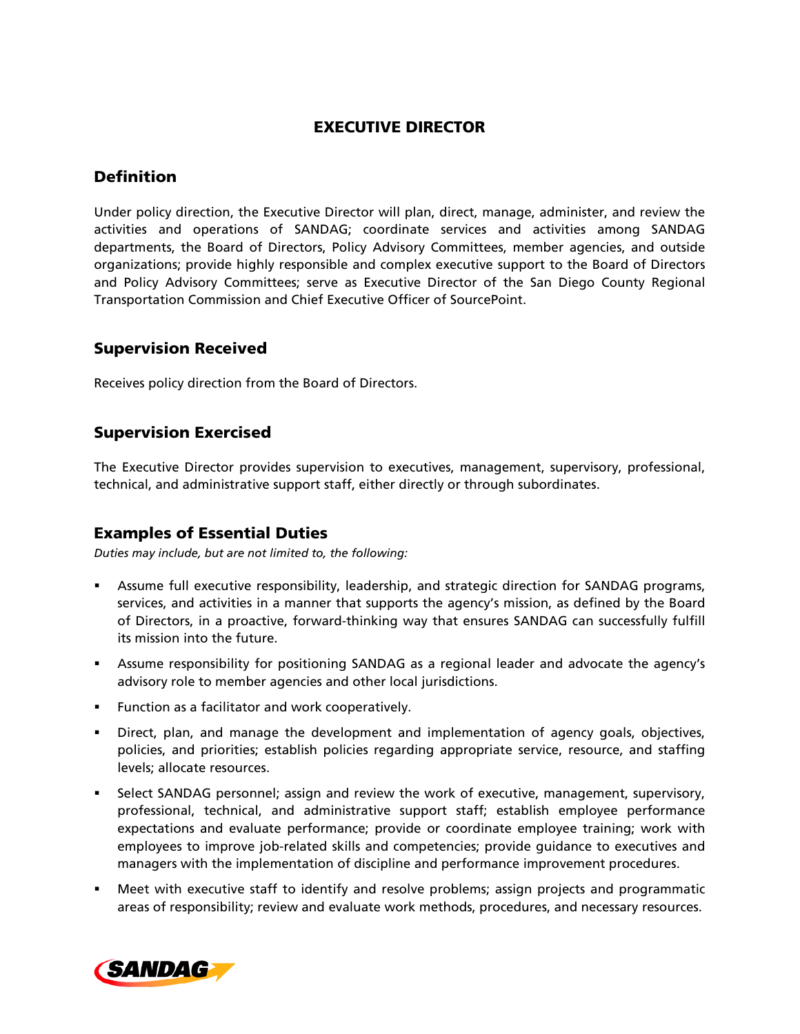### EXECUTIVE DIRECTOR

### **Definition**

Under policy direction, the Executive Director will plan, direct, manage, administer, and review the activities and operations of SANDAG; coordinate services and activities among SANDAG departments, the Board of Directors, Policy Advisory Committees, member agencies, and outside organizations; provide highly responsible and complex executive support to the Board of Directors and Policy Advisory Committees; serve as Executive Director of the San Diego County Regional Transportation Commission and Chief Executive Officer of SourcePoint.

### Supervision Received

Receives policy direction from the Board of Directors.

### Supervision Exercised

The Executive Director provides supervision to executives, management, supervisory, professional, technical, and administrative support staff, either directly or through subordinates.

### Examples of Essential Duties

*Duties may include, but are not limited to, the following:*

- Assume full executive responsibility, leadership, and strategic direction for SANDAG programs, services, and activities in a manner that supports the agency's mission, as defined by the Board of Directors, in a proactive, forward-thinking way that ensures SANDAG can successfully fulfill its mission into the future.
- Assume responsibility for positioning SANDAG as a regional leader and advocate the agency's advisory role to member agencies and other local jurisdictions.
- **Function as a facilitator and work cooperatively.**
- Direct, plan, and manage the development and implementation of agency goals, objectives, policies, and priorities; establish policies regarding appropriate service, resource, and staffing levels; allocate resources.
- Select SANDAG personnel; assign and review the work of executive, management, supervisory, professional, technical, and administrative support staff; establish employee performance expectations and evaluate performance; provide or coordinate employee training; work with employees to improve job-related skills and competencies; provide guidance to executives and managers with the implementation of discipline and performance improvement procedures.
- Meet with executive staff to identify and resolve problems; assign projects and programmatic areas of responsibility; review and evaluate work methods, procedures, and necessary resources.

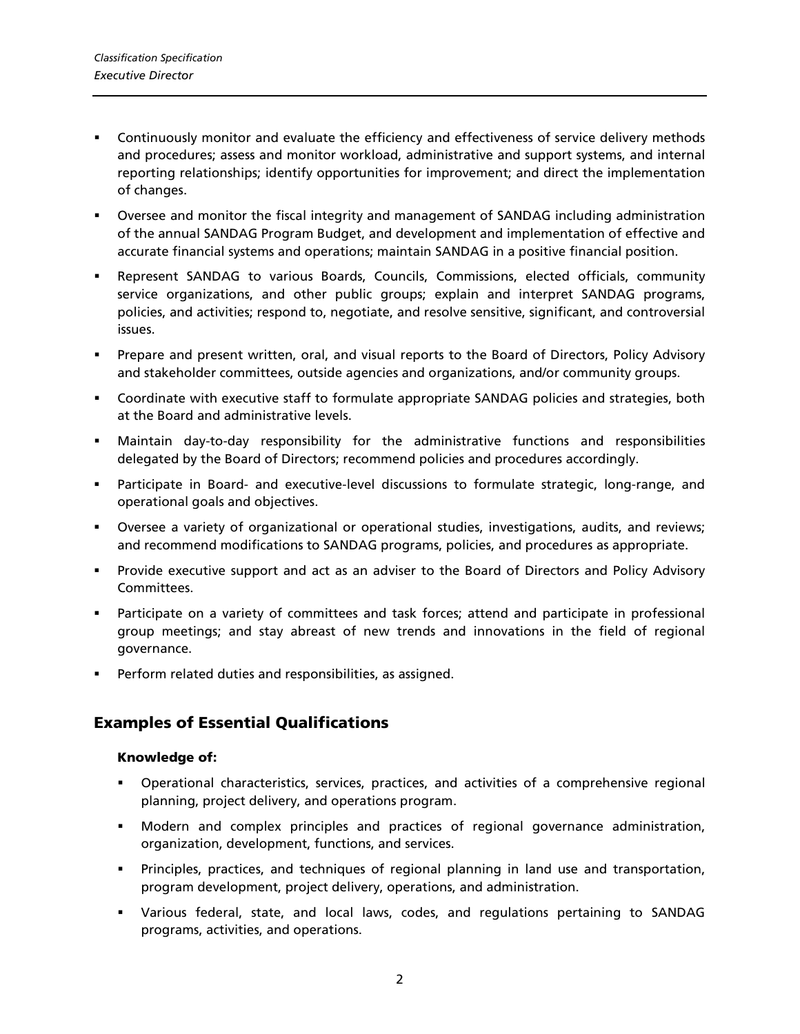- Continuously monitor and evaluate the efficiency and effectiveness of service delivery methods and procedures; assess and monitor workload, administrative and support systems, and internal reporting relationships; identify opportunities for improvement; and direct the implementation of changes.
- Oversee and monitor the fiscal integrity and management of SANDAG including administration of the annual SANDAG Program Budget, and development and implementation of effective and accurate financial systems and operations; maintain SANDAG in a positive financial position.
- Represent SANDAG to various Boards, Councils, Commissions, elected officials, community service organizations, and other public groups; explain and interpret SANDAG programs, policies, and activities; respond to, negotiate, and resolve sensitive, significant, and controversial issues.
- Prepare and present written, oral, and visual reports to the Board of Directors, Policy Advisory and stakeholder committees, outside agencies and organizations, and/or community groups.
- Coordinate with executive staff to formulate appropriate SANDAG policies and strategies, both at the Board and administrative levels.
- Maintain day-to-day responsibility for the administrative functions and responsibilities delegated by the Board of Directors; recommend policies and procedures accordingly.
- Participate in Board- and executive-level discussions to formulate strategic, long-range, and operational goals and objectives.
- Oversee a variety of organizational or operational studies, investigations, audits, and reviews; and recommend modifications to SANDAG programs, policies, and procedures as appropriate.
- **Provide executive support and act as an adviser to the Board of Directors and Policy Advisory** Committees.
- Participate on a variety of committees and task forces; attend and participate in professional group meetings; and stay abreast of new trends and innovations in the field of regional governance.
- Perform related duties and responsibilities, as assigned.

### Examples of Essential Qualifications

#### Knowledge of:

- Operational characteristics, services, practices, and activities of a comprehensive regional planning, project delivery, and operations program.
- Modern and complex principles and practices of regional governance administration, organization, development, functions, and services.
- Principles, practices, and techniques of regional planning in land use and transportation, program development, project delivery, operations, and administration.
- Various federal, state, and local laws, codes, and regulations pertaining to SANDAG programs, activities, and operations.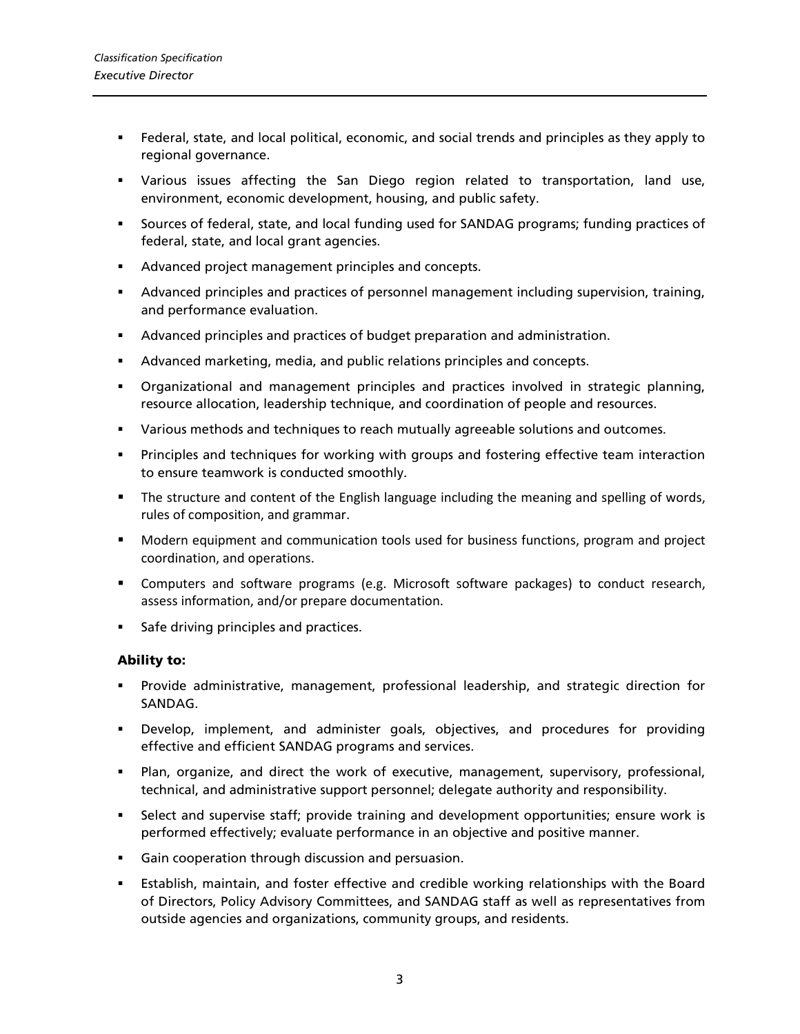- Federal, state, and local political, economic, and social trends and principles as they apply to regional governance.
- Various issues affecting the San Diego region related to transportation, land use, environment, economic development, housing, and public safety.
- Sources of federal, state, and local funding used for SANDAG programs; funding practices of federal, state, and local grant agencies.
- Advanced project management principles and concepts.
- Advanced principles and practices of personnel management including supervision, training, and performance evaluation.
- Advanced principles and practices of budget preparation and administration.
- Advanced marketing, media, and public relations principles and concepts.
- Organizational and management principles and practices involved in strategic planning, resource allocation, leadership technique, and coordination of people and resources.
- Various methods and techniques to reach mutually agreeable solutions and outcomes.
- Principles and techniques for working with groups and fostering effective team interaction to ensure teamwork is conducted smoothly.
- **The structure and content of the English language including the meaning and spelling of words,** rules of composition, and grammar.
- Modern equipment and communication tools used for business functions, program and project coordination, and operations.
- Computers and software programs (e.g. Microsoft software packages) to conduct research, assess information, and/or prepare documentation.
- Safe driving principles and practices.

#### Ability to:

- Provide administrative, management, professional leadership, and strategic direction for SANDAG.
- Develop, implement, and administer goals, objectives, and procedures for providing effective and efficient SANDAG programs and services.
- Plan, organize, and direct the work of executive, management, supervisory, professional, technical, and administrative support personnel; delegate authority and responsibility.
- Select and supervise staff; provide training and development opportunities; ensure work is performed effectively; evaluate performance in an objective and positive manner.
- Gain cooperation through discussion and persuasion.
- Establish, maintain, and foster effective and credible working relationships with the Board of Directors, Policy Advisory Committees, and SANDAG staff as well as representatives from outside agencies and organizations, community groups, and residents.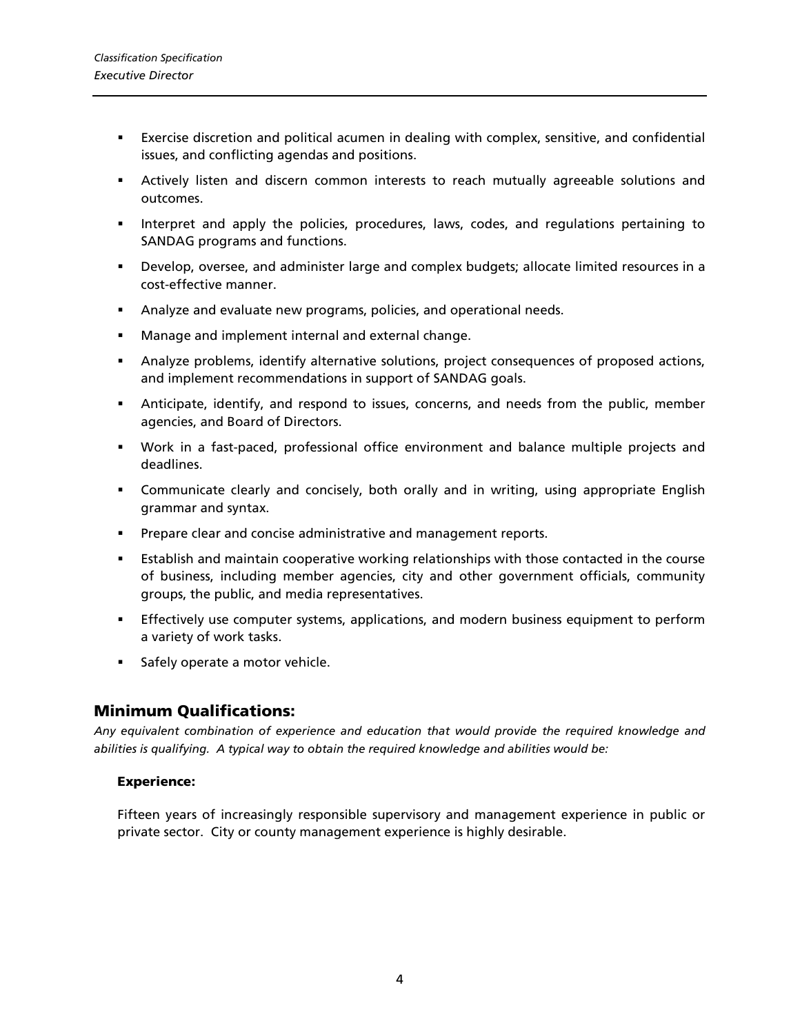- Exercise discretion and political acumen in dealing with complex, sensitive, and confidential issues, and conflicting agendas and positions.
- Actively listen and discern common interests to reach mutually agreeable solutions and outcomes.
- Interpret and apply the policies, procedures, laws, codes, and regulations pertaining to SANDAG programs and functions.
- Develop, oversee, and administer large and complex budgets; allocate limited resources in a cost-effective manner.
- Analyze and evaluate new programs, policies, and operational needs.
- **Manage and implement internal and external change.**
- Analyze problems, identify alternative solutions, project consequences of proposed actions, and implement recommendations in support of SANDAG goals.
- Anticipate, identify, and respond to issues, concerns, and needs from the public, member agencies, and Board of Directors.
- Work in a fast-paced, professional office environment and balance multiple projects and deadlines.
- Communicate clearly and concisely, both orally and in writing, using appropriate English grammar and syntax.
- **Prepare clear and concise administrative and management reports.**
- Establish and maintain cooperative working relationships with those contacted in the course of business, including member agencies, city and other government officials, community groups, the public, and media representatives.
- Effectively use computer systems, applications, and modern business equipment to perform a variety of work tasks.
- **Safely operate a motor vehicle.**

#### Minimum Qualifications:

*Any equivalent combination of experience and education that would provide the required knowledge and abilities is qualifying. A typical way to obtain the required knowledge and abilities would be:*

#### Experience:

Fifteen years of increasingly responsible supervisory and management experience in public or private sector. City or county management experience is highly desirable.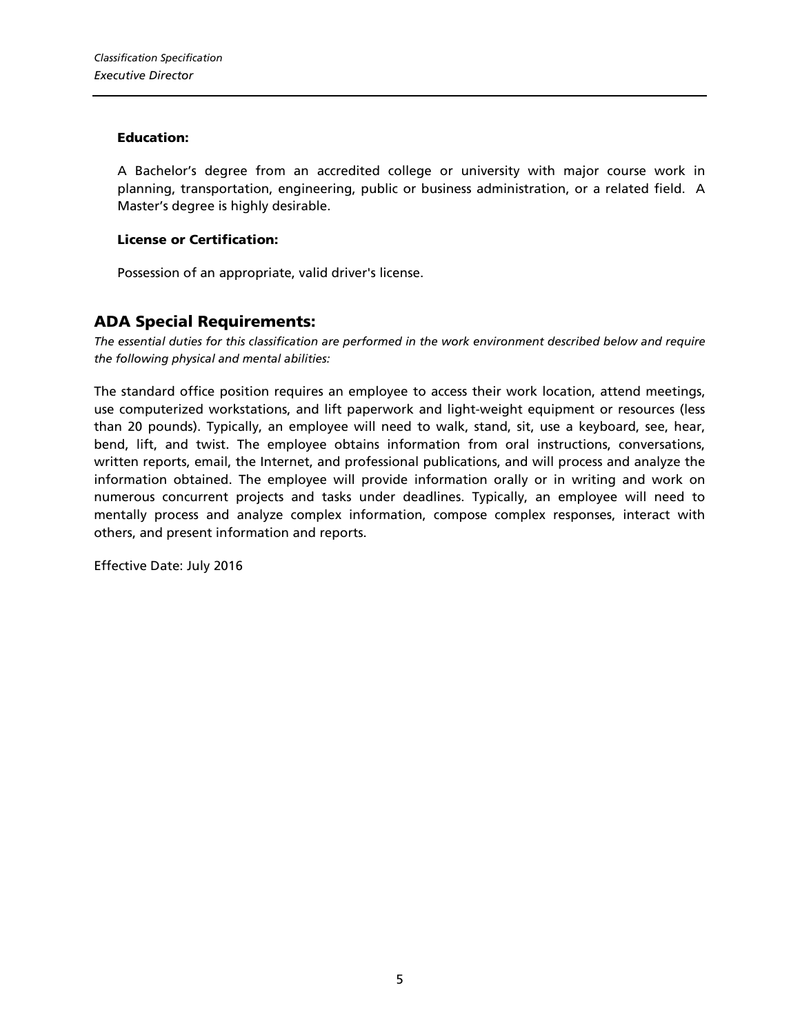#### Education:

A Bachelor's degree from an accredited college or university with major course work in planning, transportation, engineering, public or business administration, or a related field. A Master's degree is highly desirable.

#### License or Certification:

Possession of an appropriate, valid driver's license.

### ADA Special Requirements:

*The essential duties for this classification are performed in the work environment described below and require the following physical and mental abilities:*

The standard office position requires an employee to access their work location, attend meetings, use computerized workstations, and lift paperwork and light-weight equipment or resources (less than 20 pounds). Typically, an employee will need to walk, stand, sit, use a keyboard, see, hear, bend, lift, and twist. The employee obtains information from oral instructions, conversations, written reports, email, the Internet, and professional publications, and will process and analyze the information obtained. The employee will provide information orally or in writing and work on numerous concurrent projects and tasks under deadlines. Typically, an employee will need to mentally process and analyze complex information, compose complex responses, interact with others, and present information and reports.

Effective Date: July 2016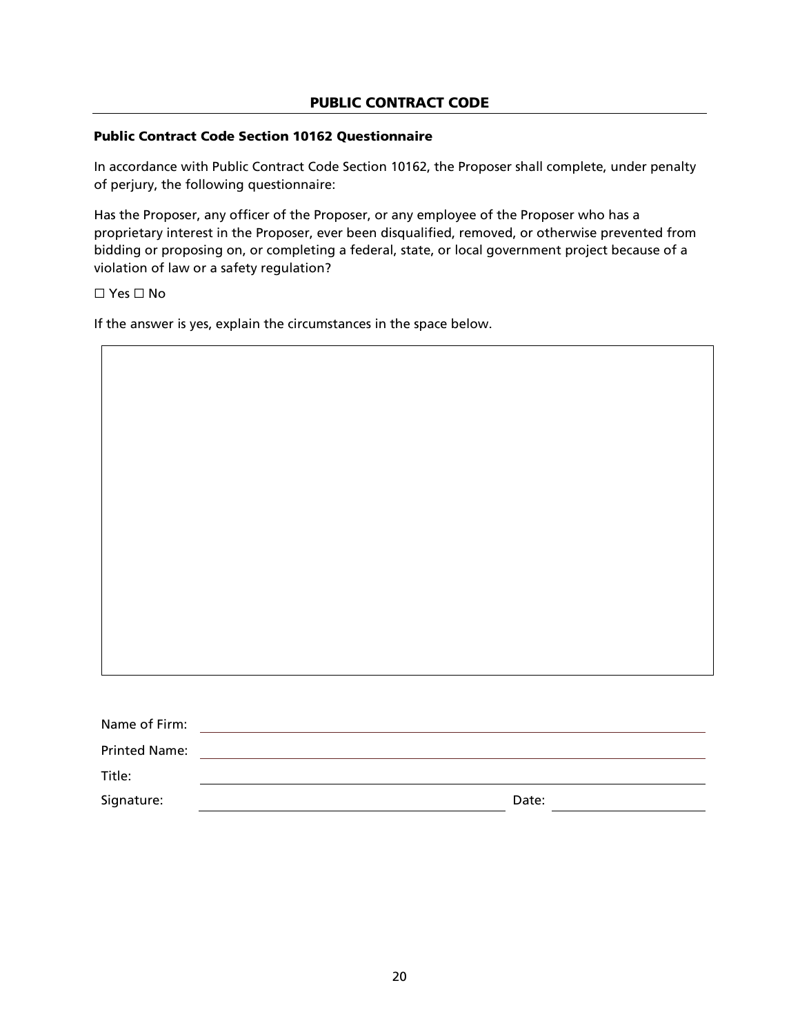#### PUBLIC CONTRACT CODE

#### Public Contract Code Section 10162 Questionnaire

In accordance with Public Contract Code Section 10162, the Proposer shall complete, under penalty of perjury, the following questionnaire:

Has the Proposer, any officer of the Proposer, or any employee of the Proposer who has a proprietary interest in the Proposer, ever been disqualified, removed, or otherwise prevented from bidding or proposing on, or completing a federal, state, or local government project because of a violation of law or a safety regulation?

☐ Yes ☐ No

If the answer is yes, explain the circumstances in the space below.

| Name of Firm:        |  |
|----------------------|--|
| <b>Printed Name:</b> |  |
| Title:               |  |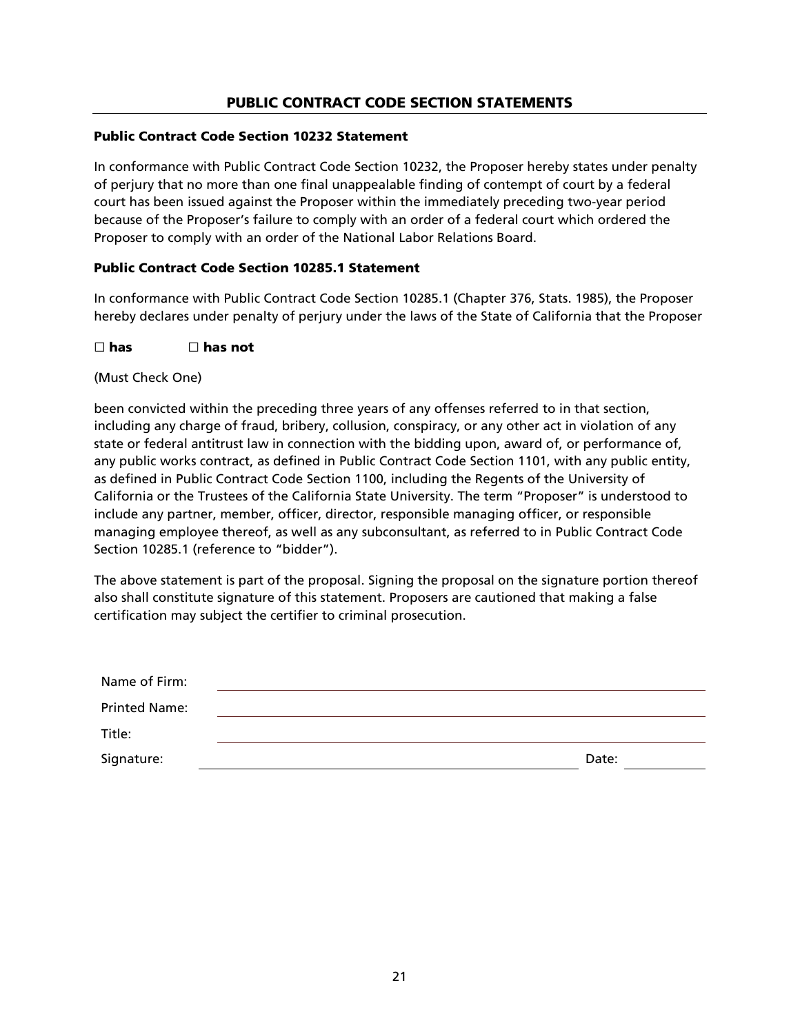### PUBLIC CONTRACT CODE SECTION STATEMENTS

#### Public Contract Code Section 10232 Statement

In conformance with Public Contract Code Section 10232, the Proposer hereby states under penalty of perjury that no more than one final unappealable finding of contempt of court by a federal court has been issued against the Proposer within the immediately preceding two-year period because of the Proposer's failure to comply with an order of a federal court which ordered the Proposer to comply with an order of the National Labor Relations Board.

#### Public Contract Code Section 10285.1 Statement

In conformance with Public Contract Code Section 10285.1 (Chapter 376, Stats. 1985), the Proposer hereby declares under penalty of perjury under the laws of the State of California that the Proposer

#### $\Box$  has  $\Box$  has not

(Must Check One)

been convicted within the preceding three years of any offenses referred to in that section, including any charge of fraud, bribery, collusion, conspiracy, or any other act in violation of any state or federal antitrust law in connection with the bidding upon, award of, or performance of, any public works contract, as defined in Public Contract Code Section 1101, with any public entity, as defined in Public Contract Code Section 1100, including the Regents of the University of California or the Trustees of the California State University. The term "Proposer" is understood to include any partner, member, officer, director, responsible managing officer, or responsible managing employee thereof, as well as any subconsultant, as referred to in Public Contract Code Section 10285.1 (reference to "bidder").

The above statement is part of the proposal. Signing the proposal on the signature portion thereof also shall constitute signature of this statement. Proposers are cautioned that making a false certification may subject the certifier to criminal prosecution.

| Name of Firm:        |       |
|----------------------|-------|
| <b>Printed Name:</b> |       |
| Title:               |       |
| Signature:           | Date: |